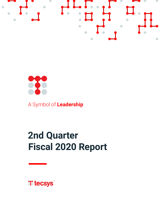



A Symbol of **Leadership**

# **2nd Quarter Fiscal 2020 Report**

**Witecsys**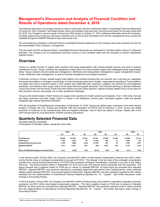# **Management's Discussion and Analysis of Financial Condition and Results of Operations dated December 4, 2019**

The following discussion and analysis should be read in conjunction with the Condensed Interim Consolidated Financial Statements of Tecsys Inc. (the "Company") and Notes thereto, which are included in this document, and the annual report for the year ended April 30, 2019. The Company's second quarter of fiscal year 2020 ended on October 31, 2019. Additional information about the Company, including copies of the continuous disclosure materials such as the annual information form and the management proxy circular are available through the SEDAR Website at http://www.sedar.com.

The accompanying unaudited condensed interim consolidated financial statements of the Company have been prepared by and are the responsibility of the Company's management.

This document and the condensed interim consolidated financial statements are expressed in Canadian dollars unless it is otherwise indicated. The Company and its subsidiaries functional currency is the Canadian dollar with the exception of Danish subsidiaries (Danish kroner).

# **Overview**

Tecsys is a global provider of supply chain solutions that equip organizations with industry-leading services and tools to achieve operational success. Tecsys' solutions are designed to create clarity out of the complex supply chain challenges facing organizations today. Tecsys solutions include warehouse management, distribution and transportation management, supply management at pointof-use, distributed order management, as well as financial management and analytics solutions.

Customers running on Tecsys' Itopia® supply chain platform are confident knowing they can execute, day in and day out, regardless of business fluctuations or changes in technology. As their businesses grow more complex, organizations operating a Tecsys platform can adapt and scale to business needs or size, expand and collaborate with customers, suppliers and partners as one borderless enterprise, and transform their supply chains at the speed that their growth demands. From demand planning to demand fulfillment, Tecsys puts power into the hands of both front-line workers and back office planners, helping business leaders focus on the future of their products, services and people, not on their operational challenges.

Tecsys is the market leader in North America for supply chain solutions for health systems and hospitals. Over 1,000 small, mid-size and large customers trust their supply chains to Tecsys in the healthcare, service parts, third-party logistics, retail and general wholesale high-volume distribution industries.

With the acquisition of OrderDynamics Corporation on November 14, 2018, Tecsys has added major customers in the retail industry located in Canada, the U.S., Europe and Australia. With the acquisition of PCSYS A/S on February 1, 2019, Tecsys has added hundreds of customers in the manufacturing, retail and logistics industries, most of which are based in Europe. Please refer to the 2019 annual report for a full description of these business acquisitions.

# **Quarterly Selected Financial Data**

(Quarterly data are unaudited)

In thousands of Canadian dollars, except per share data

|                                                    | 2020   |        |        | 2019    |        |            |         | 2018   |
|----------------------------------------------------|--------|--------|--------|---------|--------|------------|---------|--------|
|                                                    | Q2     | Q1     | Q4     | Q3      | Q2     | Q1         | Q4      | Q3     |
| Total Revenue                                      | 26 008 | 24 250 | 23 191 | 18792   | 18 184 | 16 28 2    | 18908   | 17 227 |
| Profit (Loss)                                      | 1404   | (267)  | 79     | (1.429) | 596    | 13         | 1802    | 722    |
| Comprehensive Income (Loss)                        | 1439   | (488)  | (143)  | (1307)  | 552    | 63         | 1493    | 1057   |
| Adjusted EBITDA <sup>1</sup>                       | 3677   | 1995   | 684    | (98)    | 1654   | 536        | 2 3 0 7 | 1312   |
| <b>Basic and Diluted Earnings per Common Share</b> | 0.11   | (0.02) | 0.01   | (0.11)  | 0.05   | <b>NIL</b> | 0.13    | 0.06   |

In the second quarter of fiscal 2020, the Company recorded \$0.3 million of stock-based compensation expense and a \$0.2 million cost for the fair value of contingent consideration to be paid for PCSYS. This change in the fair value of the contingent consideration resulted from strong financial performance of PCSYS that increased contingent consideration expected to be paid to the sellers (Earnout). The Earnout period ended on September 30, 2019 and is the only Earnout period associated with the acquisition. The above amounts had a negative impact on Profit and no impact on Adjusted EBITDA<sup>1</sup> as these items are excluded from Adjusted EBITDA<sup>1</sup>. Adjusted EBITDA<sup>1</sup> was positively impacted by a quarterly sequential improvement from OrderDynamics, which achieved slightly positive Adjusted EBITDA<sup>1</sup> in the second quarter of fiscal 2020. Adjusted EBITDA<sup>1</sup> was also positively impacted by \$0.3 million resulting from the implementation of International Financial Reporting Standard No. 16 - "Leases". See further discussion under Change in Accounting Policies.

In the first quarter of fiscal 2020, the Company recorded \$0.4 million of restructuring costs related to acquisition integration (primarily severance) and \$0.2 million stock-based compensation expense. This had a negative impact on Profit and no impact on Adjusted EBITDA<sup>1</sup> as these items are excluded from Adjusted EBITDA<sup>1</sup>. Adjusted EBITDA<sup>1</sup> was positively impacted by \$0.3 million resulting from the implementation of International Financial Reporting Standard No. 16 - "Leases". See further discussion under Change in Accounting Policies.

<sup>1&</sup>lt;br>1 Refer to section at end of MD&A titled "Non-IFRS Performance Measure"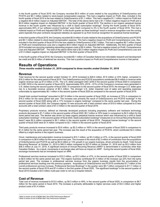In the fourth quarter of fiscal 2019, the Company recorded \$0.5 million of costs related to the acquisitions of OrderDynamics and PCSYS and \$0.1 million related to stock-based compensation expense. This had a negative impact on Profit. Also, included in the fourth quarter of fiscal 2019 is the loss related to OrderDynamics of \$1.1 million. This had a negative \$1.1 million impact on Profit and a negative \$0.9 million impact on Adjusted EBITDA<sup>1</sup>. The total of the above items had a \$1.7 million negative impact on Profit and a \$0.9 million negative impact on Adjusted EBITDA<sup>1</sup> in the fourth quarter of fiscal 2019. The decline in our organic perpetual license revenue in the fourth quarter was influenced by a shift to SaaS subscription bookings<sup>2</sup>. During the fourth quarter of fiscal 2019, approximately 60% of our software product bookings<sup>2</sup> were SaaS compared to 4% in the fourth quarter of fiscal 2018. This had a material impact on Profit and Adjusted EBITDA<sup>1</sup> in the fourth quarter as these bookings<sup>2</sup> result in revenue recognition over the coming years (typically five-year contracts recognized rateably) as opposed to up front revenue recognition for perpetual license bookings<sup>2</sup>.

In the third quarter of fiscal 2019, the Company recorded \$0.8 million of costs related to the acquisitions of OrderDynamics and PCSYS and \$0.1 million related to stock-based compensation expense. This had a negative impact on Profit and Comprehensive Loss. Also, included in the third quarter of fiscal 2019 is the loss related to OrderDynamics of \$0.7 million. This had a negative \$0.7 million impact on Profit and Comprehensive Loss and a negative \$0.6 million impact on Adjusted EBITDA<sup>1</sup>. Additionally, the third quarter of fiscal 2019 included non-recurring marketing rebranding program costs of \$0.4 million. This had a negative impact on Profit, Comprehensive Loss and Adjusted EBITDA<sup>1</sup>. The total of the above items had a \$2.0 million negative impact on Profit and Comprehensive Loss and a \$1.0 million negative impact on Adjusted EBITDA<sup>1</sup> in the third quarter of fiscal 2019.

In the fourth quarter of fiscal 2018, the Company recorded \$0.1 million of Canadian federal non-refundable research and development tax credit and \$0.9 million of deferred tax recovery. This had a positive impact on Profit and Comprehensive Income in that period.

# **Results of Operations**

*Three months ended October 31, 2019 compared to three months ended October 31, 2018* 

### **Revenue**

Total revenue for the second quarter ended October 31, 2019 increased to \$26.0 million, \$7.8 million or 43% higher, compared to \$18.2 million for the same period of fiscal 2019. The OrderDynamics and PCSYS acquisitions contributed \$6.9 million in revenue while organic revenue was up \$1.0 million or 5%. The U.S. dollar averaged CA\$1.3238 in the second quarter of fiscal 2020 in comparison to CA\$1.3032 in the second quarter of fiscal 2019. Approximately 55% (2019 – 61%) of the Company's revenues were generated in U.S. dollars during the second quarter of fiscal 2020. In comparison to the second quarter of fiscal 2019, the stronger U.S. dollar gave rise to a favorable revenue variance of \$0.3 million. The stronger U.S. dollar impacted cost of sales and operating expenses unfavorably by approximately \$0.1 million in the second quarter of fiscal 2020 as compared to the second quarter of fiscal 2019.

Overall total contract bookings<sup>2</sup> amounted to \$27.9 million in the second quarter of fiscal 2020, an increase of 72% in comparison to \$16.2 million for the same period last year. The increase was primarily the result of OrderDynamics and PCSYS bookings<sup>2</sup> in the second quarter of fiscal 2020 along with a 17% increase in organic bookings<sup>2</sup> compared to the same quarter last year. During the second quarter of fiscal 2020, the Company signed 10 new accounts with a total contract value of \$15.6 million compared to 6 new accounts with a total contract value of \$1.3 million in the second quarter of fiscal 2019.

Proprietary products revenue, defined as internally developed products including proprietary software and hardware technology products decreased to \$1.7 million in the second quarter of fiscal 2020, \$0.7 million or 30% lower in comparison to \$2.5 million for the same period last year. The decline was driven by lower organic perpetual license revenue which was influenced by a shift to SaaS subscription bookings<sup>2</sup>. In the second quarter of fiscal 2020, SaaS subscription bookings<sup>2</sup> (measured on an Annual Recurring Revenue basis<sup>2</sup>) were \$2.4 million compared to \$0.1 million in the second quarter of fiscal 2019. Perpetual license bookings<sup>2</sup> in the second quarter of fiscal 2020 were \$1.4 million compared to \$2.1 million in the second quarter of fiscal 2019.

Third party products revenue increased to \$3.6 million, up \$2.2 million or 165% in the second quarter of fiscal 2020 in comparison to \$1.4 million for the same period last year. The increase was the result of the acquisition of PCSYS, which contributed \$2.4 million offset by a slight decline in the organic business.

Cloud, maintenance and subscription revenue increased to \$10.1 million, up \$3.2 million or 47%, in the second quarter of fiscal 2020 in comparison to \$6.8 million for the same period last year. The increase is the result of \$2.3 million of contribution from the acquisitions of OrderDynamics and PCSYS as well as \$0.9 million or 13% growth in our organic business, driven primarily by SaaS. Total Annual Recurring Revenue<sup>2</sup> at October 31, 2019 is \$40.5 million compared to \$27.6 million at October 31, 2018 and up \$2.2 million from \$38.3 million at July 31, 2019. A significant amount of Annual Recurring Revenue (ARR)<sup>2</sup> is denominated in currencies other than Canadian Dollars. As a result, movements in exchange rates will have an impact on ARR<sup>2</sup>. During the second quarter of fiscal 2020, exchange movements had an immaterial impact on ARR.

Professional services revenue increased to \$10.2 million, up \$3.2 million or 47%, in the second quarter of fiscal 2020 in comparison to \$6.9 million for the same period last year. The organic business contributed \$1.5 million of the increase (up 22% from the same period last year). The increase in professional services revenue from the organic business results from the accumulation of professional services backlog over the previous quarters. Acquisitions of OrderDynamics and PCSYS contributed \$1.7 million of the overall professional services increase. Professional Services Bookings<sup>2</sup> in the quarter were \$9.7 million compared to \$11.7 million in the second quarter of fiscal 2019 and \$7.4 million in the first quarter of fiscal 2020. The significant bookings<sup>2</sup> in the second quarter of fiscal 2019 included a \$3.5 million multi-year order to roll out a hospital network.

# **Cost of Revenue**

Total cost of revenue increased to \$13.0 million, up \$4.3 million or 49%, in the second quarter of fiscal 2020, in comparison to \$8.7 million for the same period in fiscal 2019. The increase is primarily attributable to higher services costs of \$3.0 million and higher product costs of \$1.4 million.

1 Refer to section at end of MD&A titled "Non-IFRS Performance Measure"

<sup>&</sup>lt;sup>2</sup> Refer to section at end of MD&A titled "Key Performance Indicators"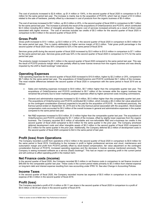The cost of products increased to \$2.8 million, up \$1.4 million or 104%, in the second quarter of fiscal 2020 in comparison to \$1.4 million for the same period last year. The increase is mainly due to the acquisition of PCSYS, which had an impact of \$1.9 million related to the sale of hardware, partially offset by a decrease in cost of products from the organic business of \$0.4 million.

The cost of services increased to \$9.7 million, up \$3.0 million or 45%, in the second quarter of fiscal 2020 in comparison to \$6.7 million for the same period last year. The increase is primarily the result of the acquisitions of OrderDynamics and PCSYS, which contributed \$2.0 million including \$0.2 million of intangible amortization. Organic cost of services increased primarily as a result of direct costs associated with higher revenue. The cost of services includes tax credits of \$0.3 million for the second quarter of fiscal 2020 in comparison to \$0.5 million in the second quarter of fiscal 2019.

# **Gross Profit**

Gross profit increased to \$13.1 million, up \$3.5 million or 37%, in the second quarter of fiscal 2020 in comparison to \$9.5 million for the same period last year. This is mainly attributable to higher service margin of \$3.5 million. Total gross profit percentage in the second quarter of fiscal 2020 was 50% compared to 52% in the same period of fiscal 2019.

Services gross profit during the second quarter of fiscal 2020 increased by \$3.5 million to \$10.5 million in comparison to \$7.1 million for the same period last year**.** Services gross profit was 52% in the second quarter of fiscal 2020 in comparison to 51% for the same period last year.

The products margin increased by \$0.1 million in the second quarter of fiscal 2020 compared to the same period last year. This was the result of PCSYS products margin which was partially offset by lower license revenue from the organic business and was directly impacted by the shift to SaaS bookings<sup>2</sup> noted above.

# **Operating Expenses**

Total operating expenses for the second quarter of fiscal 2020 increased to \$10.8 million, higher by \$2.2 million or 25%, compared to \$8.7 million for the same period last year. The acquisitions of OrderDynamics and PCSYS contributed \$2.1 million of the increase. The most notable differences between the second quarter of fiscal 2020 in comparison with the same period in fiscal 2019 are as follows:

- Sales and marketing expenses increased to \$4.8 million, \$0.7 million higher than the comparable quarter last year. The acquisitions of OrderDynamics and PCSYS contributed to \$0.7 million of the increase while the organic business has remained flat primarily due to lower marketing program expenses offset by higher personnel costs including commissions.
- General and administrative expenses increased to \$2.4 million, \$0.5 million higher than the comparable quarter last year. The acquisitions of OrderDynamics and PCSYS contributed \$0.3 million, which includes a \$0.2 million fair value adjustment on the contingent consideration (Earnout) expected to be paid for the acquisition of PCSYS. As mentioned previously, the Earnout period ended on September 30, 2019 and is the only Earnout period associated with the acquisition. Stock-based compensation costs accounted for \$0.2 million of the overall increase in general and administrative expenses in the quarter compared to the same period last year.
- Net R&D expenses increased to \$3.6 million, \$1.0 million higher than the comparable quarter last year. The acquisitions of OrderDynamics and PCSYS contributed for \$1.1 million of the increase, offset by slightly lower expenses from the organic business. The Company recorded \$0.5 million of refundable and non-refundable R&D and e-business tax credits in the second quarter of fiscal 2020 compared to \$0.5 million for the same quarter in the prior year. The Company amortized deferred development costs and other intangible assets of \$0.2 million in the second quarter of fiscal 2020 compared to \$0.3 million for the same quarter in the prior year. Additionally, the Company deferred \$0.2 million of development costs in the second quarter of fiscal 2020 compared to \$nil in the same period of last year.

# **Profit (loss) from Operations**

The Company recorded a profit from operations of \$2.2 million in the second quarter of fiscal 2020 in comparison to \$0.8 million for the same period in fiscal 2019. Contributing to the increase in profit is higher professional services and cloud, maintenance and subscription margin and profit from PCSYS partially offset by stock-based compensation, fair value adjustment on the contingent consideration Earnout of PCSYS, increased operating expenses and the decrease in license revenue mentioned previously. The Company is seeing increased software as a service (SaaS) bookings<sup>2</sup>. This had an impact on operating profit in the current period and will continue to affect operating profit in the medium term.

# **Net Finance costs (income)**

In the second quarter of fiscal 2020, the Company recorded \$0.3 million in net finance costs in comparison to net finance income of \$49,000 for the comparable quarter last year. These costs in the current period relate primarily to \$0.3 million from interest expense on long-term debt and interest expense resulting from new accounting under IFRS 16. See also Change in Accounting Policies.

# **Income Taxes**

In the second quarter of fiscal 2020, the Company recorded income tax expense of \$0.5 million in comparison to an income tax expense of \$0.3 million in the second quarter of fiscal 2019.

# **Profit (loss)**

The Company recorded a profit of \$1.4 million or \$0.11 per share in the second quarter of fiscal 2020 in comparison to a profit of \$0.6 million or \$0.05 per share in the second quarter of fiscal 2019.

 <sup>2</sup> Refer to section at end of MD&A titled "Key Performance Indicators"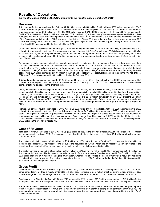# **Results of Operations**

*Six months ended October 31, 2019 compared to six months ended October 31, 2018* 

### **Revenue**

Total revenue for the six months ended October 31, 2019 increased to \$50.3 million, \$15.8 million or 46% higher, compared to \$34.5 million for the same period of fiscal 2019. The OrderDynamics and PCSYS acquisitions contributed \$12.5 million in revenue while organic revenue was up \$3.3 million or 10%. The U.S. dollar averaged CA\$1.3260 in the first half of fiscal 2020 in comparison to CA\$1.3039 in the first half of fiscal 2019. Approximately 55% (2019 – 62%) of the Company's revenues were generated in U.S. dollars during the first half of fiscal 2020. In comparison to the first half of fiscal 2019, the stronger U.S. dollars and the unfavorable variance of the Company's partial hedging of U.S. revenue in the first half of fiscal 2019 gave rise to a favorable revenue variance of \$0.8 million. The stronger U.S. dollar impacted cost of sales and operating expenses unfavorably by approximately \$0.2 million in the first half of fiscal 2020 as compared to the first half of fiscal 2019.

Overall total contract bookings<sup>2</sup> amounted to \$41.9 million in the first half of fiscal 2020, an increase of 56% in comparison to \$26.9 million for the same period last year. The increase was primarily the result of OrderDynamics and PCSYS bookings<sup>2</sup> in the first half of fiscal 2020 with organic bookings<sup>2</sup> contributing 7% of the increase. During the first half of fiscal 2020, the Company signed 18 new accounts with a total contract value of \$19.0 million compared to 9 new accounts with a total contract value of \$3.2 million in the first half of fiscal 2019.

Proprietary products revenue, defined as internally developed products including proprietary software and hardware technology products, decreased to \$2.2 million in the first half of fiscal 2020, \$1.6 million or 43% lower in comparison to \$3.8 million for the same period last year. The decline was driven by lower organic perpetual license revenue which was influenced by a shift to SaaS subscription bookings<sup>2</sup>. In the first half of fiscal 2020, SaaS subscriptions bookings<sup>2</sup> (measured on an Annual Recurring Revenue basis<sup>2</sup>) were \$2.7 million compared to \$0.1 million in the first half of fiscal 2019. Perpetual license bookings<sup>2</sup> in the first half of fiscal 2020 were \$1.8 million compared to \$3.1 million in the first half of fiscal 2019.

Third party products revenue increased to \$7.2 million, up \$4.4 million or 158% in the first half of fiscal 2020 in comparison to \$2.8 million for the same period last year. The increase was the result of the acquisition of PCSYS, which contributed \$4.5 million and was slightly offset by a decrease in the organic business.

Cloud, maintenance and subscription revenue increased to \$19.8 million, up \$6.0 million or 44%, in the first half of fiscal 2020 in comparison to \$13.8 million for the same period last year. The increase is the result of \$4.5 million of contribution from the acquisitions of OrderDynamics and PCSYS as well as \$1.5 million or 11% growth in our organic business, driven primarily by SaaS. Total Annual Recurring Revenue at October<sup>2</sup> 31, 2019 is \$40.5 million compared to \$27.6 million at October 31, 2018. A significant amount of Annual Recurring Revenue (ARR)<sup>2</sup> is denominated in currencies other than Canadian Dollars. As a result, movements in exchange rates will have an impact on ARR<sup>2</sup>. During the first half of fiscal 2020, exchange movements had a \$0.5 million negative impact on ARR.

Professional services revenue increased to \$19.9 million, up \$6.9 million or 53%, in the first half of fiscal 2020 in comparison to \$13.0 million for the same period last year. The organic business contributed \$4.0 million of the increase (up 30% from the same period last year). The significant increase in professional services revenue from the organic business results from the accumulation of professional services backlog over the previous quarters. Acquisitions of OrderDynamics and PCSYS contributed \$3.0 million of the overall professional services increase. Professional Services Bookings<sup>2</sup> in the first half of fiscal 2020 were \$17.1 million compared to \$17.5 million in the first half of fiscal 2019.

# **Cost of Revenue**

Total cost of revenue increased to \$25.7 million, up \$8.3 million or 48%, in the first half of fiscal 2020, in comparison to \$17.4 million for the same period in fiscal 2019. The increase is primarily attributable to higher services costs of \$5.1 million and higher product costs of \$3.1 million.

The cost of products increased to \$5.8 million, up \$3.1 million or 118%, in the first half of fiscal 2020 in comparison to \$2.6 million for the same period last year. The increase is mainly due to the acquisition of PCSYS, which had an impact of \$3.5 million related to the sale of hardware, partially offset by lower cost of products from the organic business of \$0.4 million.

The cost of services increased to \$18.8 million, up \$5.1 million or 38%, in the first half of fiscal 2020 in comparison to \$13.7 million for the same period last year. The increase is primarily the result of the acquisitions of OrderDynamics and PCSYS, which contributed \$3.9 million including \$0.4 million of intangible amortization. Organic cost of services increased primarily as a result of direct costs associated with higher revenue. The cost of services includes tax credits of \$0.8 million for the first half of fiscal 2020 compared to \$1.0 million for the same period last year.

# **Gross Profit**

Gross profit increased to \$24.6 million, up \$7.5 million or 44%, in the first half of fiscal 2020 in comparison to \$17.1 million for the same period last year. This is mainly attributable to higher service margin of \$7.8 million offset by lower products margin of \$0.3 million. Total gross profit percentage in the first half of fiscal 2020 was 49% compared to 50% in the same period of fiscal 2019.

Services gross profit during the first half of fiscal 2020 increased by \$7.8 million to \$20.9 million in comparison to \$13.1 million for the same period last year**.** Services gross profit was 53% in the first half of fiscal 2020 in comparison to 49% for the same period last year.

The products margin decreased by \$0.3 million in the first half of fiscal 2020 compared to the same period last year primarily as a result of lower proprietary product revenue of \$1.6 million partially offset by higher third-party product contribution from PCSYS. The lower proprietary product revenue was primarily the result of lower license revenue and was directly impacted by the shift to SaaS bookings<sup>2</sup> noted above.

<sup>2</sup> Refer to section at end of MD&A titled "Key Performance Indicators"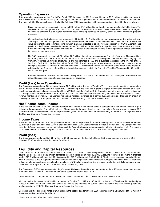# **Operating Expenses**

Total operating expenses for the first half of fiscal 2020 increased to \$21.9 million, higher by \$5.5 million or 34%, compared to \$16.4 million for the same period last year. The acquisitions of OrderDynamics and PCSYS contributed \$4.8 million of the increase. The most notable differences between the first half of fiscal 2020 in comparison with the same period in fiscal 2019 are as follows:

- Sales and marketing expenses increased to \$9.3 million, \$1.8 million higher than the comparable first half of last year. The acquisitions of OrderDynamics and PCSYS contributed to \$1.6 million of the increase while the increase in the organic business is primarily due to higher personnel costs including commission partially offset by lower marketing program expenses.
- General and administrative expenses increased to \$4.8 million, \$1.3 million higher than the comparable first half of last year. The acquisitions of OrderDynamics and PCSYS contributed \$0.6 million of the increase, which includes a \$0.2 million fair value adjustment on the contingent consideration (Earnout) expected to be paid for the acquisition of PCSYS. As mentioned previously, the Earnout period ended on September 30, 2019 and is the only Earnout period associated with the acquisition. Stock-based compensation costs accounted for \$0.5 million of the increase with the remaining increase related primarily to increases in personnel costs.
- Net R&D expenses increased to \$7.3 million, \$2.0 million higher than the comparable first half of last year. The acquisitions of OrderDynamics and PCSYS contributed \$2.2 million of the increase while the organic business was down slightly. The Company recorded \$1.0 million of refundable and non-refundable R&D and e-business tax credits in the first half of fiscal 2020 and \$0.8 million in the first half of fiscal 2019. The Company amortized deferred development costs and other intangible assets of \$0.3 million in the first half of fiscal 2020 compared to \$0.6 million for the same period in the prior year. Additionally, the Company deferred \$0.4 million of development costs in the first half of fiscal 2020 compared to \$0.1 million in the prior year period.
- Restructuring costs increased to \$0.4 million, compared to NIL in the comparable first half of last year. These costs are related to acquisition integration costs, primarily for severance.

# **Profit (loss) from Operations**

The Company recorded a profit from operations of \$2.7 million in the first half of fiscal 2020 in comparison to a profit from operations of \$0.7 million for the same period in fiscal 2019. Contributing to the increase in profit is higher professional services and cloud, maintenance and subscription margin and profit from PCSYS partially offset by OrderDynamics operating loss, fair value adjustment of contingent consideration Earnout of PCSYS, stock-based compensation, increased operating expenses and the decrease in license revenue mentioned previously. The Company is seeing increased software as a service (SaaS) bookings<sup>2</sup>. This had an impact on operating profit in the current period and will continue to affect operating profit in the medium term.

### **Net Finance costs (income)**

In the first half of fiscal 2020, the Company recorded \$0.7 million in net finance costs in comparison to net finance income of \$0.1 million for the comparable first half of last year. These costs in the current period relate primarily to foreign exchange loss of \$0.2 million and \$0.6 million related to interest expense on long-term debt and interest expense resulting from new accounting under IFRS 16. See also Change in Accounting Policies.

### **Income Taxes**

In the first half of fiscal 2020, the Company recorded income tax expense of \$0.9 million in comparison to an income tax expense of \$0.3 million in the first half of fiscal 2019. In the first half of fiscal 2020, OrderDynamics incurred a pre-tax loss. The Company has not recorded deferred tax assets related to this loss as OrderDynamics has not yet demonstrated a history of taxable profit. The result is an effective tax rate in the current period of 44% compared to an effective tax rate of 30% in the same period last year.

# **Profit (loss)**

The Company recorded a profit of \$1.1 million or \$0.09 per share in the first half of fiscal 2020 in comparison to a profit of \$0.6 million or \$0.05 per share in the first half of fiscal 2019.

# **Liquidity and Capital Resources**

On October 31, 2019, current assets totaled \$39.7 million, \$1.2 million higher compared to the end of fiscal 2019. Cash and cash equivalents decreased to \$12.2 million compared to \$14.9 million as at April 30, 2019. Accounts receivable and work in progress totaled \$16.7 million on October 31, 2019 compared to \$15.8 million as at April 30, 2019. The increase in accounts receivable and work in progress is due to higher revenue which more than offset significant cash collections during the first half of fiscal 2020 and the unfavorable foreign exchange impact on the translation of U.S dollar receivables due to closing rate for the U.S dollar decreasing from CA\$1.3391 as at April 30, 2019 to CA\$1.3164 as at October 31, 2019.

The Company's DSO (days sales outstanding)<sup>2</sup> were at 58 days at the end the second quarter of fiscal 2020 compared to 61 days at the end of fiscal 2019 and 71 days at the end of the second quarter of fiscal 2019.

Current liabilities on October 31, 2019 totaled \$33.2 million compared to \$31.0 million at the end of fiscal 2019.

Working capital decreased to \$6.5 million at the end of October 31, 2019 from \$7.5 million at the end of fiscal year 2019 primarily as a result of lower cash and cash equivalents as well as the increase in current lease obligation liabilities resulting from the implementation of IFRS 16. See also Change in Accounting Policies.

Operating activities generated funds of \$1.4 million in the second quarter of fiscal 2020 in comparison to using funds of \$1.3 million in the corresponding period of fiscal 2019.

<sup>2</sup> Refer to section at end of MD&A titled "Key Performance Indicators"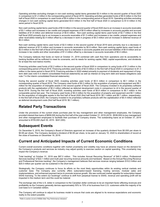Operating activities excluding changes in non-cash working capital items generated \$2.4 million in the second quarter of fiscal 2020 in comparison to \$1.2 million in the corresponding period of fiscal 2019. Operating activities generated funds of \$0.9 million in the first half of fiscal 2020 in comparison to used funds of \$0.4 million in the corresponding period of fiscal 2019. Operating activities excluding changes in non-cash working capital items generated \$3.6 million in the first half of fiscal 2020 in comparison to \$1.6 million in the same period in fiscal 2019.

Non-cash working capital items used funds of \$0.9 million in the second quarter of fiscal 2020 due to an increase in accounts receivable of \$3.1 million and increases in tax credits and prepaid expenses of \$0.8 million offset by increases in accounts payable and accrued liabilities of \$1.8 million and deferred revenue of \$0.8 million. Non-cash working capital items used funds of \$2.7 million in the first half fiscal 2020 primarily due to an increase in accounts receivable of \$1.3 million and increases in tax credits, prepaid expenses and other receivables totaling \$2.4 million offset by a decrease in work in progress of \$0.3 million and an increase in deferred revenue of \$0.4 million.

Non-cash working capital items used funds of \$2.5 million in the second quarter of fiscal 2019 were primarily due to a decrease in deferred revenue of \$1.5 million and increase in accounts receivable by \$0.9 million. Non-cash working capital items used funds of \$2.0 million in the first half of fiscal 2019 primarily due to a decrease in accounts payable and accrued liabilities of \$0.8 million and an increase in tax credits and other receivables of \$1.4 million offset by a decrease in accounts receivable of \$0.4 million.

The Company believes that funds on hand at October 31, 2019 combined with cash flow from operations and its accessibility to banking facilities will be sufficient to meet its covenants, and its needs for working capital, R&D, capital expenditures, and dividends for at least the next twelve months.

Financing activities used funds of \$2.2 million in the second quarter of fiscal 2020 in comparison to using funds of \$1.3 million in the corresponding period of fiscal 2019. Financing activities used funds of \$2.9 million in the first half of fiscal 2020 in comparison to \$1.3 million in the same period in fiscal 2019. Financing activities in 2020 related primarily to payment of dividends and repayment of longterm debt (see note 6 in interim consolidated financial statements) as well as interest on long term debt and leases obligations (see note 7 in the interim consolidated financial statements).

During the second quarter of fiscal 2020, investing activities used funds of \$0.5 million in comparison to \$0.1 million in the corresponding quarter of fiscal 2019. The Company used funds of \$0.2 million for the acquisition of property and equipment and \$0.1 million for the acquisition of intangible assets in the second quarter of fiscal 2020. The Company invested in its proprietary software products with the capitalization of \$0.2 million reflected as deferred development costs in comparison to nil in the second quarter of fiscal 2019. During the first half of fiscal 2020, investing activities used funds of \$0.8 million in comparison to \$0.1 million in the comparable period last year. The Company used funds of \$0.4 million for the acquisition of property and equipment and \$0.1 million for the acquisition of intangible assets in the first half of fiscal 2020 (first half fiscal 2019: \$0.1 million and \$0.1 million, respectively). In the first half of fiscal 2020, the Company invested in its proprietary software products with the capitalization of \$0.4 million reflected as deferred development costs (first half fiscal 2019: \$0.1 million).

# **Related Party Transactions**

Under the provisions of the current share purchase plan for key management and other management employees, the Company provided interest-free loans of \$658,000 during the first half of the year ended October 31, 2019 (2019 - \$538,000) to key management and other management employees to facilitate their purchase of Company shares. The outstanding loans as at October 31, 2019 amounted to \$705,000 (April 30, 2019 - \$241,000).

# **Subsequent Events**

On December 5, 2019, the Company's Board of Directors approved an increase of the quarterly dividend from \$0.055 per share to \$0.06 per share. The Company declared a dividend of \$0.06 per share, to be paid on January 10, 2020 to shareholders of record at the close of business on December 19, 2019.

# **Current and Anticipated Impacts of Current Economic Conditions**

Current overall economic conditions together with market uncertainty and volatility may have an adverse impact on the demand for the Company's products and services as industry may adjust quickly to exercise caution on capital spending. This uncertainty may impact the Company's revenue.

Total backlog<sup>2</sup> at October 31, 2019 was \$87.0 million. This includes Annual Recurring Revenue<sup>2</sup> of \$40.5 million, Professional Services backlog<sup>4</sup> of \$22.1 million and multi-year recurring revenue amounts and hardware. Based on the Annual Recurring Revenue and Professional Services backlog<sup>2</sup>, the Company's management believes that services revenue ranging between \$19.0 million and \$20.0 million per quarter can be sustained in the short term.

Strategically, the Company continues to focus its efforts on the most likely opportunities within its existing vertical markets and customer base. The Company also currently offers subscription-based licensing, hosting services, modular sales and implementations, and enhanced payment terms to promote revenue growth. We see continued market appetite for subscription based SAAS licensing. To the extent our bookings<sup>2</sup> continue to shift from perpetual license to SAAS, revenue and operating profit will be impacted in the medium term and this could be material.

The exchange rate of the U.S. dollar in comparison to the Canadian dollar continues to be an important factor affecting revenues and profitability as the Company generally derives approximately 55% to 70% of its business from U.S. customers while the majority of its cost base is in Canadian dollars.

The Company will continue to adjust its business model to ensure that costs are aligned to its revenue expectations and economic reality to the extent possible.

<sup>2</sup> Refer to section at end of MD&A titled "Key Performance Indicators"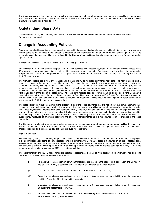The Company believes that funds on hand together with anticipated cash flows from operations, and its accessibility to the operating line of credit will be sufficient to meet all its needs for a least the next twelve months. The Company can further manage its capital structure by adjusting its dividend policy.

# **Outstanding Share Data**

On December 5, 2019, the Company has 13,082,376 common shares and there has been no change since the end of the Company's second quarter.

# **Change in Accounting Policies**

Except as described below, the accounting policies applied in these unaudited condensed consolidated interim financial statements are the same as those applied in the Company's consolidated financial statements as at and for the year ending April 30, 2019.The change in accounting policies will also be reflected in the Company's consolidated financial statements as at and for the year ended April 30, 2020.

International Financial Reporting Standard No. 16 - "Leases" (''IFRS 16''):

Effective May 1, 2019, the Company adopted IFRS 16 which specifies how to recognize, measure, present and disclose leases. IFRS 16 provides a single lessee accounting model, requiring lessees to recognize a right-of-use asset as well as a lease liability reflecting the present value of future lease payments. The impact of the transition is shown below. The Company's accounting policy under IFRS 16 is as follows:

The Company recognizes a right-of-use asset and a lease liability at the lease commencement date. The right-of-use is initially measured at cost, which comprises the initial amount of the lease liability adjusted for any lease payments made at or before the commencement date, plus any initial direct costs incurred and an estimate of costs to dismantle and remove the underlying asset or to restore the underlying asset or the site on which it is located, less any lease incentives received. The right-of-use asset is subsequently depreciated using the straight-line method from the commencement date to the earlier of the end of the useful life of the right-of-use asset or the end of the lease term. The lease term includes periods covered by an option to extend if the Company is reasonably certain to exercise that option. Lease terms range from 5 to 21 years for offices and 3 to 6 years for data centers, equipment and vehicles. In addition, the right-of-use asset is reduced by impairment losses resulting from impairment tests conducted in accordance with IAS 36, Impairment of Assets, if any.

The lease liability is initially measured at the present value of the lease payments that are not paid at the commencement date, discounted using the interest rate implicit in the lease or, if that rate cannot be readily determined, the lessee's incremental borrowing rate. Lease payments used for the calculations comprise mainly fixed payments and variable lease payments that depend on an index or a rate, the exercise price of a purchase option if the lessee is reasonably certain to exercise that option and payments of penalties for terminating the lease, if the lease term reflects the lessee exercising an option to terminate the lease. The lease liability is subsequently measured at amortized cost using the effective interest method and is remeasured to reflect changes in the lease payments.

The Company has elected to apply the practical expedient not to recognize right-of-use assets and lease liabilities for short-term leases that have a lease term of 12 months or less and leases of low value assets. The lease payments associated with these leases are recognized as an expense on a straight-line basis over the lease term.

#### Impact of transition:

Effective May 1, 2019, the Company adopted IFRS 16 using the modified retrospective approach with the effect of initially applying this standard recognized at the date of application. Under this method, the Company elected to measure right-of-use of asset as equal to lease liability, adjusted for amounts previously recorded for deferred lease inducements or prepaid rent as at the date of adoption. The cumulative effect of initially applying IFRS 16 at initial application was recognized in retained earnings as of May 1, 2019 and comparative information presented for 2019 has not been restated.

The implementation of IFRS 16 allows for certain practical expedients at the date of initial application. The Company has elected to use the following exemptions and practical expedients:

- (i) To grandfather the assessment of which transactions are leases on the date of initial application, the Company applied IFRS 16 only to contracts that were previously identified as leases under IAS 17;
- (ii) Use of the same discount rate for portfolio of leases with similar characteristics;
- (iii) Exemption, on a lease-by-lease basis, of recognizing a right-of-use asset and lease liability when the lease term is within 12 months of the date of initial application;
- (iv) Exemption, on a lease-by-lease basis, of recognizing a right-of-use asset and lease liability when the lease has an underlying asset that is of low value;
- (v) Exclude initial direct costs, at the date of initial application only, on a lease-by-lease basis from the measurement of the right-of-use asset;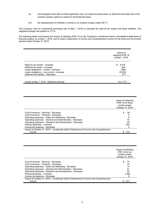- (vi) Use hindsight at the date of initial application only, on a lease-by-lease basis, to determine the lease term if the contract contains options to extend or terminate the lease;
- (vii) No reassessment on whether a contract is or contains a lease under IAS 17.

The Company used its incremental borrowing rate at May 1, 2019 to calculate the right-of-use assets and lease liabilities. The weighted-average rate applied is 3.77%.

The following tables summarizes the impact of adopting IFRS 16 on the Company's condensed interim consolidated statements of financial position as at May 1, 2019, and its interim statements of income and comprehensive income for the three and six-months periods ended October 31, 2019.

|                                            | Impact of<br>adopting IFRS 16<br>at May 1, 2019 |
|--------------------------------------------|-------------------------------------------------|
| Right-of-use assets - Increase             | 8,418<br>\$                                     |
| Deferred tax asset - Increase              | 404                                             |
| Lease obligations - current - Increase     | (984)                                           |
| Lease obligations - non-current - Increase | (9,226)                                         |
| Deferred rent liability - Decrease         | 271                                             |
| Impact at May 1, 2019 - Retained earnings  | \$(1,117)                                       |

|                                                                                       | Impact of adopting<br>IFRS 16 for three<br>months ended<br>October 31, 2019 |
|---------------------------------------------------------------------------------------|-----------------------------------------------------------------------------|
| Cost of revenue – Services - Decrease                                                 | 38                                                                          |
| Cost of revenue – Products - Decrease                                                 | 5                                                                           |
| Operating expenses - Sales and Marketing - Decrease                                   | 6                                                                           |
| Operating expenses - General and Administration - Decrease                            | 10                                                                          |
| Operating expenses – Research and Development - Decrease                              | 20                                                                          |
| Interest expenses - Increase                                                          | (93)                                                                        |
| Income tax expense - Decrease                                                         |                                                                             |
| Impact at October 31, 2019 – Condensed Interim Statements of Income and Comprehensive |                                                                             |
| income                                                                                | (10)                                                                        |

|                                                                                       | Impact of adopting<br><b>IFRS 16 for six</b><br>months ended<br>October 31, 2019 |
|---------------------------------------------------------------------------------------|----------------------------------------------------------------------------------|
| Cost of revenue – Services - Decrease                                                 | 74                                                                               |
| Cost of revenue - Products - Decrease                                                 | 10                                                                               |
| Operating expenses – Sales and Marketing - Decrease                                   | 14                                                                               |
| Operating expenses - General and Administration - Decrease                            | 21                                                                               |
| Operating expenses – Research and Development - Decrease                              | 40                                                                               |
| Interest expenses - Increase                                                          | (188)                                                                            |
| Income tax expense - Decrease                                                         | 8                                                                                |
| Impact at October 31, 2019 – Condensed Interim Statements of Income and Comprehensive |                                                                                  |
| income                                                                                | (21)                                                                             |
|                                                                                       |                                                                                  |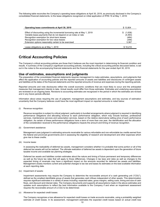The following table reconciles the Company's operating lease obligations at April 30, 2019, as previously disclosed in the Company's consolidated financial statements, to the lease obligations recognized on initial application of IFRS 16 at May 1, 2019:

| Operating lease commitments at April 30, 2019                                                                                                                                                                                                                                                    | \$13,804                                            |
|--------------------------------------------------------------------------------------------------------------------------------------------------------------------------------------------------------------------------------------------------------------------------------------------------|-----------------------------------------------------|
| Effect of discounting using the incremental borrowing rate at May 1, 2019<br>Variable lease payments that do not depend on an index or rate<br>Recognition exemption for short-term leases<br>Recognition exemption for low value leases<br>Extension options reasonably certain to be exercised | (1,636)<br>S<br>(4, 493)<br>(484)<br>(348)<br>3,367 |
| Lease obligations as at May 1, 2019                                                                                                                                                                                                                                                              | \$10.210                                            |

# **Critical Accounting Policies**

The Company's critical accounting policies are those that it believes are the most important in determining its financial condition and results. A summary of the Company's significant accounting policies, including the critical accounting policies discussed below, is set out in the notes to the accompanying financial statements and the financial statements for the year ended April 30, 2019.

### **Use of estimates, assumptions and judgments**

The preparation of the consolidated financial statements requires management to make estimates, assumptions, and judgments that affect the application of accounting policies and the reported amounts of assets and liabilities and disclosures of contingent assets and liabilities at the dates of the financial statements and the reported amounts of revenue and expenses during the reporting periods.

Reported amounts and note disclosures reflect the overall economic conditions that are most likely to occur and the anticipated measures that management intends to take. Actual results could differ from those estimates. Estimates and underlying assumptions are reviewed on an ongoing basis. Revisions to accounting estimates are recognized in the period in which the estimates are revised and in any future periods affected.

Information about areas requiring the use of judgment, management assumptions and estimates, and key sources of estimation uncertainty that the Company believes could have the most significant impact on reported amounts is noted below:

(i) Revenue recognition:

Revenue recognition is subject to critical judgment, particularly in bundled arrangements where judgment is required in identifying performance obligations and allocating revenue to each performance obligation, which may include licenses, professional services, maintenance services and subscription services, based on the relative stand-alone selling price of each performance obligation. As certain of these performance obligations have a term of more than one year, the identification and the allocation of the consideration received to the performance obligations impacts the amount and timing of revenue recognition.

(ii) Government assistance:

Management uses judgment in estimating amounts receivable for various refundable and non-refundable tax credits earned from the federal and provincial governments and in assessing the eligibility of research and development and other expenses which give rise to these credits.

(iii) Income taxes:

In assessing the realizability of deferred tax assets, management considers whether it is probable that some portion or all of the deferred tax assets will not be realized. The ultimate realization of deferred tax assets is dependent upon the generation of future taxable income and available tax planning strategies.

Deferred tax assets and liabilities contain estimates about the nature and timing of future permanent and temporary differences as well as the future tax rates that will apply to those differences. Changes in tax laws and rates as well as changes to the expected timing of reversals may have a significant impact on the amounts recorded for deferred tax assets and liabilities. Management closely monitors current and potential changes to tax law and bases its estimates on the best available information at each reporting date.

(iv) Impairment of assets:

Impairment assessments may require the Company to determine the recoverable amount of a cash generating unit ("CGU"), defined as the smallest identifiable group of assets that generates cash inflows independent of other assets. This determination requires significant estimates in a variety of areas including: expected sales, gross margins, selling costs, timing and size of cash flows, and discount and interest rates. The Company documents and supports all assumptions made in the above estimates and updates such assumptions to reflect the best information available to the Company if and when an impairment assessment requires the recoverable amount of a CGU to be determined.

(v) Allowance for expected credit losses:

The Company recognizes a loss allowance for expected credit losses on trade accounts receivable, using a probability weighted estimate of credit losses. In its assessment, management estimates the expected credit losses based on actual credit loss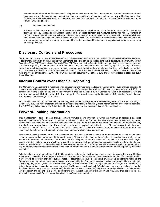experience and informed credit assessment, taking into consideration credit loss insurance and the credit-worthiness of each customer, taking into account each customer's financial condition and payment history and forward-looking information. Furthermore, these estimates must be continuously evaluated and updated. If actual credit losses differ from estimates, future earnings would be affected.

(vi) Business combinations:

Business combinations are accounted for in accordance with the acquisition method. On the date that control is obtained, the identifiable assets, liabilities and contingent liabilities of the acquired company are measured at their fair value. Depending on the complexity of determining these valuations, the Company uses appropriate valuation techniques which are generally based on a forecast of the total expected future net discounted cash flows. These valuations are linked closely to the assumptions made by management regarding the future performance of the related assets and the discount rate applied as it would be assumed by a market participant.

# **Disclosure Controls and Procedures**

Disclosure controls and procedures are designed to provide reasonable assurance that material information is gathered and reported to senior management on a timely basis so that appropriate decisions can be made regarding public disclosure. The Company's Chief Executive Officer (CEO) and its Chief Financial Officer (CFO) are responsible for establishing and maintaining disclosure controls and procedures regarding the communication of information. They are assisted in this responsibility by the Company's Executive Committee, which is composed of members of senior management. Based on the evaluation of the Company's disclosure controls and procedures, the Chief Executive Officer and Chief Financial Officer have concluded that these disclosure controls and procedures were effective as of October 31, 2019. The PCSYS acquisition occurred in Q4 of fiscal 2019 and we have elected to scope this out of the certification.

# **Internal Control over Financial Reporting**

The Company's management is responsible for establishing and maintaining adequate internal control over financial reporting to provide reasonable assurance regarding the reliability of the Company's financial reporting and its compliance with IFRS in its consolidated financial statements. The control framework that was designed by the Company's ICFR is in accordance with the framework criteria established in Internal Control – Integrated Framework issued by the Committee of Sponsoring Organizations of the Treadway Commission (2013) (COSO).

No changes to internal controls over financial reporting have come to management's attention during the six months period ending on October 31, 2019 that have materially affected or are reasonably likely to materially affect internal controls over financial reporting. The PCSYS acquisition occurred in Q4 of fiscal 2019 and we have elected to scope this out of the certification.

# **Forward-Looking Information**

This management's discussion and analysis contains "forward-looking information" within the meaning of applicable securities legislation. Although the forward-looking information is based on what the Company believes are reasonable assumptions, current expectations, and estimates, investors are cautioned from placing undue reliance on this information since actual results may vary from the forward-looking information. Forward-looking information may be identified by the use of forward-looking terminology such as "believe", "intend", "may", "will", "expect", "estimate", "anticipate", "continue" or similar terms, variations of those terms or the negative of those terms, and the use of the conditional tense as well as similar expressions.

Such forward-looking information that is not historical fact, including statements based on management's belief and assumptions cannot be considered as guarantees of future performance. They are subject to a number of risks and uncertainties, including but not limited to future economic conditions, the markets that the Company serves, the actions of competitors, major new technological trends, and other factors, many of which are beyond the Company's control, that could cause actual results to differ materially from those that are disclosed in or implied by such forward-looking information. The Company undertakes no obligation to update publicly any forward-looking information whether as a result of new information, future events or otherwise other than as required by applicable legislation.

Actual results and developments are likely to differ, and may differ materially, from those expressed or implied by the forward-looking statements contained in this management discussion and analysis. Such statements are based on a number of assumptions which may prove to be incorrect, including, but not limited to, assumptions about: (i) competitive environment; (ii) operating risks; (iii) the Company's management and employees; (iv) capital investment by the Company's customers; (v) customer project implementations; (vi) liquidity; (vii) current global financial conditions; (viii) implementation of the Company's commercial strategic plan; (ix) credit; (x) potential product liabilities and other lawsuits to which the Company may be subject; (xi) additional financing and dilution; (xii) market liquidity of the Company's common shares; (xiii) development of new products; (xiv) intellectual property and other proprietary rights; (xv) acquisition and expansion; (xvi) foreign currency; (xvii) interest rate; (xviii) technology and regulatory changes; (xix) internal information technology infrastructure and applications, (xx) and cyber security.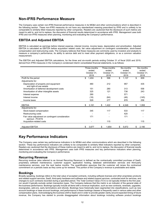# **Non-IFRS Performance Measure**

The Company uses certain non-IFRS financial performance measures in its MD&A and other communications which is described in the following section. These non-IFRS measures do not have any standardized meaning prescribed by IFRS and is unlikely to be comparable to similarly titled measures reported by other companies. Readers are cautioned that the disclosure of such metrics are meant to add to, and not to replace, the discussion of financial results determined in accordance with IFRS. Management uses both IFRS and non-IFRS measures when planning, monitoring and evaluating the Company's performance.

# **EBITDA and Adjusted EBITDA**

EBITDA is calculated as earnings before interest expense, interest income, income taxes, depreciation and amortization. Adjusted EBITDA is calculated as EBITDA before acquisition related costs, fair value adjustment on contingent consideration, stock-based compensation and restructuring costs. The Company believes that these measures are commonly used by investors and analysts to measure a company's performance, its ability to service debt and to meet other payment obligations, or as a common valuation measurement.

The EBITDA and Adjusted EBITDA calculations, for the three and six-month periods ending October 31 of fiscal 2020 and 2019, derived from IFRS measures in the Company's condensed interim consolidated financial statements, is as follows:

|                                                                      | Three-months<br>ended<br>October 31,<br>2019 | Three-months<br>ended<br>October 31,<br>2018 | Six-months<br>ended<br>October 31,<br>2019 | Six-months<br>ended<br>October 31,<br>2018 |
|----------------------------------------------------------------------|----------------------------------------------|----------------------------------------------|--------------------------------------------|--------------------------------------------|
| Profit for the period                                                | \$<br>1,404                                  | \$<br>596                                    | \$<br>1,137                                | \$<br>609                                  |
| Adjustments for:                                                     |                                              |                                              |                                            |                                            |
| Depreciation of property and equipment<br>and right-of-use assets    | 480                                          | 212                                          | 957                                        | 435                                        |
| Amortization of deferred development costs                           | 151                                          | 280                                          | 313                                        | 558                                        |
| Amortization of other intangible assets                              | 325                                          | 121                                          | 738                                        | 243                                        |
| Interest expense                                                     | 290                                          |                                              | 571                                        |                                            |
| Interest income                                                      | (18)                                         | (64)                                         | (46)                                       | (145)                                      |
| Income taxes                                                         | 529                                          | 277                                          | 878                                        | 258                                        |
| <b>EBITDA</b>                                                        | 3,161<br>\$                                  | \$<br>1,422                                  | \$<br>4,548                                | \$<br>1,958                                |
| Adjustments for:                                                     |                                              |                                              |                                            |                                            |
| Stock-based compensation                                             | 345                                          | 117                                          | 533                                        | 117                                        |
| Restructuring costs                                                  |                                              |                                              | 420                                        |                                            |
| Fair value adjustment on contingent consideration<br>earnout - PCSYS | 171                                          |                                              | 171                                        |                                            |
| Acquisition-related costs                                            |                                              | 115                                          |                                            | 115                                        |
| <b>Adjusted EBITDA</b>                                               | 3,677<br>\$                                  | 1,654<br>\$                                  | 5,672<br>\$                                | 2,190<br>\$                                |

# **Key Performance Indicators**

The Company uses certain key performance indicators in its MD&A and other communications which are described in the following section. These key performance indicators are unlikely to be comparable to similarly titled indicators reported by other companies. Readers are cautioned that the disclosure of these metrics are meant to add to, and not to replace, the discussion of financial results determined in accordance with IFRS. Management uses both IFRS measures and key performance indicators when planning, monitoring and evaluating the Company's performance.

# **Recurring Revenue**

Recurring revenue (also referred to as Annual Recurring Revenue) is defined as the contractually committed purchase of SaaS, proprietary software maintenance, customer support, application hosting, database administration services and third-party maintenance services, over the next twelve months. The quantification assumes that the customer will renew the contractual commitment on a periodic basis as they come up for renewal. This portion of the Company's revenue is predictable and stable.

### **Bookings**

Broadly speaking, bookings refers to the total value of accepted contracts, including software licenses and other proprietary products and related support services, SaaS, third-party hardware and software and related support services, contracted work for services, and changes to such contracts recorded during a specified period. The Total Contract Value (TCV) is not typically limited to the first year, nor would it typically exclude certain transaction types. The Company believes that this metric is an indicator of the general state of the business performance. Bookings typically include all items with a revenue implication, such as new contracts, renewals, upgrades, downgrades, add-ons, early terminations and refunds. Bookings have historically been segmented into classifications, such as new account bookings or base account bookings, and performance in these bookings classes is frequently used in various sales and other compensation plans. Acknowledging the business shift to SaaS and in order to provide greater clarity around expected timing of future revenue, the Company has started to provide disaggregated information about bookings including software product bookings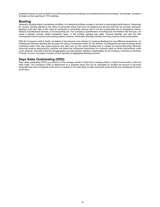(perpetual license as well as SaaS Annual Recurring Revenue bookings) and professional services bookings. Accordingly, we expect to phase out the reporting of TCV bookings.

### **Backlog**

Generally, backlog refers to something unfulfilled. In a traditional software company, this term is used largely within finance. Historically for Tecsys, backlog referred to the value of contracted orders that have not shipped and services that had not yet been delivered. Backlog could also refer to the value of contracted or committed revenue that is not yet recognizable due to acceptance criteria, delivery of professional services, or an accounting rule. The Company's quantification of backlog was not limited to the first year, nor would it typically exclude certain transaction types. In this context, backlog was really "revenue backlog" and was the total unrecognized future revenue from existing signed contracts. Historically, Backlog included recurring revenue as discussed earlier.

With the Company's shift to SaaS, we believe it has become more relevant to measure Backlog from two different perspectives: (a) Professional Services Backlog that includes the value of contracted orders for the delivery of professional services (including those contracted orders that may extend beyond one year) and (b) the natural backlog that is created by Annual Recurring Revenue (recurring revenue assuming the customer will renew the contractual commitment on a periodic basis as those commitments come up for renewal). We believe that this disaggregation provides greater visibility to stakeholders as the Company continues its transition to SaaS. As such, we expect to phase out the reporting of aggregated Backlog amounts.

# **Days Sales Outstanding (DSO)**

Days sales outstanding (DSO) is a measure of the average number of days that a company takes to collect revenue after a sale has been made. The Company's DSO is determined on a quarterly basis and can be calculated by dividing the amount of accounts receivable and work in progress at the end of a quarter by the total value of sales during the same quarter and multiplying the result by 90 days.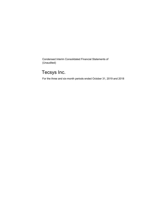Condensed Interim Consolidated Financial Statements of (Unaudited)

# Tecsys Inc.

For the three and six-month periods ended October 31, 2019 and 2018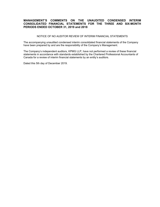### **MANAGEMENT'S COMMENTS ON THE UNAUDITED CONDENSED INTERIM CONSOLIDATED FINANCIAL STATEMENTS FOR THE THREE AND SIX-MONTH PERIODS ENDED OCTOBER 31, 2019 and 2018**

### NOTICE OF NO AUDITOR REVIEW OF INTERIM FINANCIAL STATEMENTS

The accompanying unaudited condensed interim consolidated financial statements of the Company have been prepared by and are the responsibility of the Company's Management.

The Company's independent auditors, KPMG LLP, have not performed a review of these financial statements in accordance with standards established by the Chartered Professional Accountants of Canada for a review of interim financial statements by an entity's auditors.

Dated this 5th day of December 2019.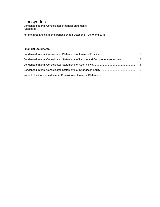Condensed Interim Consolidated Financial Statements (Unaudited)

For the three and six-month periods ended October 31, 2019 and 2018

# **Financial Statements**

| Condensed Interim Consolidated Statements of Income and Comprehensive Income |  |
|------------------------------------------------------------------------------|--|
|                                                                              |  |
|                                                                              |  |
|                                                                              |  |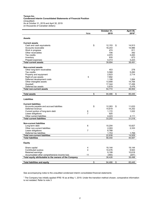#### **Tecsys Inc. Condensed Interim Consolidated Statements of Financial Position**  (Unaudited) As at October 31, 2019 and April 30, 2019 (in thousands of Canadian dollars)

|                                                                  |                | October 31,      | April 30,        |
|------------------------------------------------------------------|----------------|------------------|------------------|
|                                                                  | Note           | 2019             | 20191            |
|                                                                  |                |                  |                  |
| <b>Assets</b>                                                    |                |                  |                  |
| <b>Current assets</b>                                            |                |                  |                  |
| Cash and cash equivalents                                        | \$             | 12,153<br>\$     | 14,913           |
| Accounts receivable                                              |                | 16,243           | 14,986           |
| Work in progress                                                 |                | 474              | 811              |
| Other receivables                                                |                | 706              | 392              |
| Tax credits                                                      |                | 4,970            | 3,493            |
| Inventory                                                        |                | 835              | 673              |
| Prepaid expenses                                                 |                | 4,313            | 3,223            |
| <b>Total current assets</b>                                      |                | 39.694           | 38,491           |
|                                                                  |                |                  |                  |
| <b>Non-current assets</b>                                        |                |                  |                  |
| Other long-term receivables                                      |                | 453              | 278              |
| Tax credits                                                      |                | 5,568            | 5,260            |
| Property and equipment                                           |                | 2,623            | 2,714            |
| Right-of-use assets                                              | 5              | 7,892            |                  |
| Deferred development costs                                       |                | 1,106            | 1,064            |
| Other intangible assets                                          |                | 13,908           | 14,706           |
| Goodwill                                                         |                | 17,344           | 17,456           |
| Deferred tax assets                                              |                | 5,878            | 5,476            |
| <b>Total non-current assets</b>                                  |                | 54,772           | 46,954           |
|                                                                  |                |                  |                  |
| <b>Total assets</b>                                              | \$             | 94,466<br>\$     | 85,445           |
| <b>Liabilities</b>                                               |                |                  |                  |
|                                                                  |                |                  |                  |
| <b>Current liabilities</b>                                       |                |                  |                  |
| Accounts payable and accrued liabilities                         | \$             | 12,263<br>\$     | 11,633           |
| Deferred revenue                                                 |                | 14,619           | 14,252           |
| Current portion of long-term debt                                | 6              | 1,172            | 1,022            |
| Lease obligations                                                | $\overline{7}$ | 925              |                  |
| Other current liabilities                                        |                | 4,223            | 4,111            |
| <b>Total current liabilities</b>                                 |                | 33,202           | 31,018           |
| <b>Non-current liabilities</b>                                   |                |                  |                  |
| Long-term debt                                                   | 6              | 10,204           | 10,827           |
| Other non-current liabilities                                    |                | 2,093            |                  |
| Lease obligations                                                | $\overline{7}$ |                  | 2,333            |
| Deferred tax liabilities                                         |                | 8,788<br>1,753   | 1,769            |
|                                                                  |                |                  |                  |
| <b>Total non-current liabilities</b><br><b>Total liabilities</b> |                | 22,838<br>56,040 | 14,929<br>45,947 |
|                                                                  |                |                  |                  |
| <b>Equity</b>                                                    |                |                  |                  |
| Share capital                                                    | 4              | 19,144           | 19,144           |
| Contributed surplus                                              | 4              | 10,476           | 9,943            |
| Retained earnings                                                |                | 9,199            | 10.618           |
| Accumulated other comprehensive income loss                      | 11             | (393)            | (207)            |
| Total equity attributable to the owners of the Company           |                | 38,426           | 39,498           |
|                                                                  |                |                  |                  |
| <b>Total liabilities and equity</b>                              | \$             | 94,466<br>\$     | 85,445           |

See accompanying notes to the unaudited condensed interim consolidated financial statements

1 The Company has initially applied IFRS 16 as at May 1, 2019. Under the transition method chosen, comparative information is not restated. Refer to note 3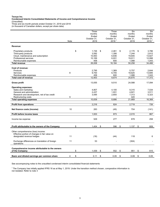**Condensed Interim Consolidated Statements of Income and Comprehensive Income**  (Unaudited)

Three and six-month periods ended October 31, 2019 and 2018 (in thousand of Canadian dollars, except per share data)

|                                                                                                                  |      | Three<br>months     | Three<br>months                  | <b>Six</b><br>months | <b>Six</b><br>months             |
|------------------------------------------------------------------------------------------------------------------|------|---------------------|----------------------------------|----------------------|----------------------------------|
|                                                                                                                  |      | Ended               | Ended                            | Ended                | Ended                            |
|                                                                                                                  | Note | October 31,<br>2019 | October 31,<br>2018 <sup>1</sup> | October 31,<br>2019  | October 31,<br>2018 <sup>1</sup> |
| Revenue:                                                                                                         |      |                     |                                  |                      |                                  |
| Proprietary products                                                                                             |      | \$<br>1.726         | \$<br>2.461                      | \$<br>2.170          | \$<br>3.786                      |
| Third-party products                                                                                             |      | 3,592               | 1,356                            | 7,244                | 2,812                            |
| Cloud, maintenance and subscription                                                                              |      | 10,063              | 6,836                            | 19,845               | 13,827                           |
| Professional services                                                                                            |      | 10,169              | 6,931                            | 19,911               | 12,998                           |
| Reimbursable expenses                                                                                            |      | 458                 | 600                              | 1,088                | 1,043                            |
| Total revenue                                                                                                    |      | 26,008              | 18,184                           | 50,258               | 34,466                           |
|                                                                                                                  |      |                     |                                  |                      |                                  |
| Cost of revenue:                                                                                                 |      |                     |                                  |                      |                                  |
| Products                                                                                                         |      | 2,795               | 1,369                            | 5,757                | 2,644                            |
| Services                                                                                                         | 8    | 9,700               | 6,705                            | 18,825               | 13,685                           |
| Reimbursable expenses                                                                                            |      | 458                 | 600                              | 1,088                | 1,043                            |
| <b>Total cost of revenue</b>                                                                                     |      | 12,953              | 8,674                            | 25,670               | 17,372                           |
| <b>Gross profit</b>                                                                                              |      | 13,055              | 9,510                            | 24,588               | 17,094                           |
| <b>Operating expenses:</b>                                                                                       |      |                     |                                  |                      |                                  |
| Sales and marketing                                                                                              |      | 4,807               | 4,100                            | 9,315                | 7,534                            |
| General and administration                                                                                       |      | 2,437               | 1,931                            | 4,821                | 3,511                            |
| Research and development, net of tax credit                                                                      |      | 3,595               | 2,655                            | 7,313                | 5,323                            |
| Restructuring costs                                                                                              | 9    |                     |                                  | 420                  |                                  |
| <b>Total operating expenses</b>                                                                                  |      | 10,839              | 8,686                            | 21,869               | 16,368                           |
|                                                                                                                  |      |                     |                                  |                      |                                  |
| <b>Profit from operations</b>                                                                                    |      | 2.216               | 824                              | 2,719                | 726                              |
| Net finance costs (income)                                                                                       | 10   | 283                 | (49)                             | 704                  | (141)                            |
| Profit before income taxes                                                                                       |      | 1,933               | 873                              | 2,015                | 867                              |
| Income tax expense                                                                                               |      | 529                 | 277                              | 878                  | 258                              |
| Profit attributable to the owners of the Company                                                                 |      | \$<br>1,404         | \$<br>596                        | \$<br>1,137          | \$<br>609                        |
| Other comprehensive (loss) income:<br>Effective portion of changes in fair value on<br>designated revenue hedges | 11   | (18)                | (44)                             | 118                  | 6                                |
|                                                                                                                  |      |                     |                                  |                      |                                  |
| Exchange differences on translation of foreign<br>operations                                                     | 11   | 53                  |                                  | (304)                |                                  |
| Comprehensive income attributable to the owners<br>of the Company                                                |      | \$<br>1,439         | \$<br>552                        | \$<br>951            | \$<br>615                        |
| Basic and diluted earnings per common share                                                                      | 4    | \$<br>0.11          | \$<br>0.05                       | \$<br>0.09           | \$<br>0.05                       |

See accompanying notes to the unaudited condensed interim consolidated financial statements

1 The Company has initially applied IFRS 16 as at May 1, 2019. Under the transition method chosen, comparative information is not restated. Refer to note 3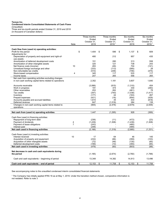### **Condensed Interim Consolidated Statements of Cash Flows**  (Unaudited)

Three and six-month periods ended October 31, 2019 and 2018 (in thousand of Canadian dollars)

|                                                         |                | Three months   | Three months      | Six months     | Six months                       |
|---------------------------------------------------------|----------------|----------------|-------------------|----------------|----------------------------------|
|                                                         |                | Ended          | Ended             | Ended          | Ended                            |
|                                                         | Note           | October 31.    | October 31.       | October 31,    | October 31.<br>2018 <sup>1</sup> |
|                                                         |                | 2019           | 2018 <sup>1</sup> | 2019           |                                  |
| Cash flow from (used in) operating activities:          |                |                |                   |                |                                  |
| Profit for the period                                   |                | \$<br>1,404    | \$<br>596         | \$<br>1,137    | \$<br>609                        |
| Adjustments for:                                        |                |                |                   |                |                                  |
| Depreciation of property and equipment and right-of-    |                | 480            | 212               | 957            | 435                              |
| use assets                                              |                |                |                   |                |                                  |
| Amortization of deferred development costs              |                | 151            | 280               | 313            | 558                              |
| Amortization of other intangible assets                 |                | 325            | 121               | 738            | 243                              |
| Net finance costs (income)                              | 10             | 283            | (49)              | 704            | (141)                            |
| Unrealized foreign exchange and other                   |                | (333)          | (113)             | (585)          | 29                               |
| Non-refundable tax credits                              |                | (510)          | (248)             | (746)          | (475)                            |
| Stock-based compensation                                | 4              | 345            | 117               | 533            | 117                              |
| Income taxes                                            |                | 207            | 265               | 556            | 265                              |
| Net cash from operating activities excluding changes    |                |                |                   |                |                                  |
| in non-cash working capital items related to operations |                | 2,352          | 1,181             | 3,607          | 1,640                            |
| Accounts receivable                                     |                |                |                   |                | 454                              |
| Work in progress                                        |                | (3,066)<br>191 | (915)<br>374      | (1,310)<br>330 | (283)                            |
| Other receivables                                       |                | 253            | 262               | (461)          | 78                               |
| Tax credits                                             |                | (347)          | (740)             | (1,038)        | (1, 417)                         |
| Inventory                                               |                | (177)          | 44                | (163)          | 267                              |
| Prepaid expenses                                        |                | (421)          | (18)              | (854)          | (429)                            |
| Accounts payable and accrued liabilities                |                | 1,815          | 35                | 433            | (818)                            |
| Deferred revenue                                        |                | 847            | (1,518)           | 384            | 139                              |
| Changes in non-cash working capital items related to    |                | (905)          | (2, 476)          | (2,679)        | (2,009)                          |
| operations                                              |                |                |                   |                |                                  |
|                                                         |                |                |                   |                |                                  |
| Net cash from (used in) operating activities            |                | 1,447          | (1, 295)          | 928            | (369)                            |
|                                                         |                |                |                   |                |                                  |
| Cash flow (used in) financing activities:               |                |                |                   |                |                                  |
| Repayment of long-term debt                             |                | (236)          | (11)              | (472)          | (23)                             |
| Payment of dividends                                    | 4              | (1, 439)       | (1,308)           | (1, 439)       | (1,308)                          |
| Payment of lease obligations                            | $\overline{7}$ | (243)          |                   | (485)          |                                  |
| Interest paid                                           |                | (248)          |                   | (489)          |                                  |
| Net cash used in financing activities                   |                | (2, 166)       | (1, 319)          | (2,885)        | (1, 331)                         |
| Cash flows (used in) investing activities:              |                |                |                   |                |                                  |
| Interest received                                       | 10             | 17             | 64                | 46             | 145                              |
| Acquisition of property and equipment                   |                | (232)          | (66)              | (359)          | (103)                            |
| Acquisition of other intangible assets                  |                | (72)           | (48)              | (135)          | (65)                             |
| Deferred development costs                              |                | (189)          | (10)              | (355)          | (65)                             |
| Net cash used in investing activities                   |                | (476)          | (60)              | (803)          | (88)                             |
|                                                         |                |                |                   |                |                                  |
| Net decrease in cash and cash equivalents during        |                |                |                   |                |                                  |
| the period                                              |                | (1, 195)       | (2,674)           | (2,760)        | (1,788)                          |
|                                                         |                |                |                   |                |                                  |
| Cash and cash equivalents – beginning of period         |                | 13,348         | 14,382            | 14,913         | 13,496                           |
| Cash and cash equivalents - end of period               |                | \$<br>12,153   | \$<br>11,708      | \$<br>12,153   | \$<br>11,708                     |
|                                                         |                |                |                   |                |                                  |

See accompanying notes to the unaudited condensed interim consolidated financial statements

1 The Company has initially applied IFRS 16 as at May 1, 2019. Under the transition method chosen, comparative information is not restated. Refer to note 3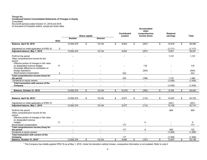#### **Condensed Interim Consolidated Statements of Changes in Equity**  (Unaudited) Six-month periods ended October 31, 2019 and 2018

(in thousand of Canadian dollars, except per share data)

|                                                                                                                      |                |                                            |               |                                                      |                                 | Accumulated<br>other |                 |              |
|----------------------------------------------------------------------------------------------------------------------|----------------|--------------------------------------------|---------------|------------------------------------------------------|---------------------------------|----------------------|-----------------|--------------|
|                                                                                                                      |                |                                            |               |                                                      | <b>Contributed</b>              | comprehensive        | <b>Retained</b> |              |
|                                                                                                                      |                | <b>Number</b>                              | Share capital | Amount                                               | surplus                         | income (loss)        | earnings        | <b>Total</b> |
|                                                                                                                      | <b>Note</b>    |                                            |               |                                                      |                                 |                      |                 |              |
| Balance, April 30, 2019                                                                                              |                | 13,082,376                                 | \$            | 19,144                                               | \$<br>9,943                     | \$<br>(207)          | \$<br>10,618    | \$<br>39,498 |
|                                                                                                                      |                |                                            |               |                                                      |                                 |                      |                 |              |
| Adjustment on initial application of IFRS 16                                                                         | 3              |                                            |               |                                                      |                                 |                      | (1, 117)        | (1, 117)     |
| Adjusted balance, May 1, 2019                                                                                        |                | 13,082,376                                 |               | 19,144                                               | 9,943                           | (207)                | 9,501           | 38,381       |
| Profit for the period<br>Other comprehensive income for the<br>period:                                               |                |                                            |               |                                                      |                                 |                      | 1,137           | 1,137        |
| Effective portion of changes in fair value<br>on designated revenue hedges<br>Exchange difference on translation of  | 11             |                                            |               |                                                      |                                 | 118                  |                 | 118          |
| foreign operations                                                                                                   |                |                                            |               |                                                      |                                 | (304)                |                 | (304)        |
| Stock-based compensation                                                                                             | $\overline{4}$ |                                            |               |                                                      | 533                             | $\overline{a}$       |                 | 533          |
| Total comprehensive income (loss) for<br>the period                                                                  |                |                                            |               |                                                      | 533                             | (186)                | 1,137           | 1,484        |
| Dividends to equity owners                                                                                           | $\overline{4}$ | L,                                         |               |                                                      | $\mathbb{Z}^2$                  | $\blacksquare$       | (1, 439)        | (1, 439)     |
| Total transaction with owners of the                                                                                 |                |                                            |               |                                                      |                                 |                      |                 |              |
| Company                                                                                                              |                |                                            |               |                                                      |                                 |                      | (1, 439)        | (1, 439)     |
| Balance, October 31, 2019                                                                                            |                | 13,082,376                                 | \$            | 19,144                                               | \$<br>10,476                    | \$<br>(393)          | \$<br>9,199     | \$<br>38,426 |
|                                                                                                                      |                |                                            |               |                                                      |                                 |                      |                 |              |
| Balance, April 30, 2018 <sup>1</sup>                                                                                 |                | 13,082,376                                 | \$            | 19,144                                               | \$<br>9,577                     | \$<br>(113)          | \$<br>14,527    | \$<br>43,135 |
| Adjustment on initial application of IFRS 15                                                                         |                |                                            |               |                                                      |                                 |                      | (421)           | (421)        |
| Adjusted balance, May 1, 2018                                                                                        |                | 13,082,376                                 |               | 19,144                                               | 9,577                           | (113)                | 14,106          | 42,714       |
| Profit for the period<br>Other comprehensive income for the<br>period:<br>Effective portion of changes in fair value |                |                                            |               |                                                      |                                 |                      | 609             | 609          |
| on designated revenue<br>hedges<br>Stock-based compensation                                                          | 11             |                                            |               |                                                      | $\overline{\phantom{a}}$<br>117 | 6                    |                 | 6<br>117     |
| Total comprehensive income (loss) for                                                                                |                |                                            |               |                                                      |                                 |                      |                 |              |
| the period<br>Dividends to equity owners                                                                             |                | $\overline{\phantom{a}}$<br>$\overline{a}$ |               | $\overline{\phantom{a}}$<br>$\overline{\phantom{a}}$ | 117<br>$\sim$                   | 6<br>$\sim$          | 609<br>(1,308)  | 732          |
| Total transaction with owners of the                                                                                 |                |                                            |               |                                                      |                                 |                      |                 | (1,308)      |
| Company                                                                                                              |                |                                            |               |                                                      | 117                             |                      | (1,308)         | (1,308)      |
| Balance, October 31, 2018 <sup>1</sup>                                                                               |                | 13,082,376                                 | \$            | 19,144                                               | \$<br>9,694                     | \$<br>(107)          | \$<br>13,407    | \$<br>42,138 |

<sup>1</sup> The Company has initially applied IFRS 16 as at May 1, 2019. Under the transition method chosen, comparative information is not restated. Refer to note 3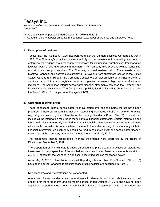Notes to the Condensed Interim Consolidated Financial Statements (Unaudited)

Three and six-month periods ended October 31, 2019 and 2018 (in Canadian dollars, tabular amounts in thousands, except per share data and otherwise noted)

### **1. Description of business:**

Tecsys Inc. (the "Company") was incorporated under the Canada Business Corporations Act in 1983. The Company's principal business activity is the development, marketing and sale of enterprise-wide supply chain management software for distribution, warehousing, transportation logistics, point-of-use and order management. The Company also provides related consulting, education and support services. The Company is headquartered at 1, Place Alexis Nihon, Montréal, Canada, and derives substantially all its revenue from customers located in the United States, Canada and Europe. The Company's customers consist primarily of healthcare systems, services parts, third-party logistics, retail and general wholesale high volume distribution industries. The condensed interim consolidated financial statements comprise the Company and its wholly-owned subsidiaries. The Company is a publicly listed entity and its shares are traded on the Toronto Stock Exchange under the symbol TCS.

### **2. Statement of compliance:**

These condensed interim consolidated financial statements and the notes thereto have been prepared in accordance with International Accounting Standards ("IAS") 34, *Interim Financial Reporting* as issued by the International Accounting Standards Board ("IASB"). They do not include all the information required in the full annual financial statements. Certain information and footnote disclosures normally included in annual financial statements were omitted or condensed where such information is not considered material to the understanding of the Company's interim financial information. As such, they should be read in conjunction with the consolidated financial statements of the Company as at and for the year ended April 30, 2019.

The condensed interim consolidated financial statements were approved by the Board of Directors on December 5, 2019.

The preparation of financial data is based on accounting principles and practices consistent with those used in the preparation of the audited annual consolidated financial statements as at April 30, 2019, except for the changes in significant accounting policies mentioned below.

As at May 1, 2019, International Financial Reporting Standard No. 16 – "Leases" ("IFRS 16") have been applied. Changes to significant accounting policies are described in Note 3.

### New standards and interpretations not yet adopted:

A number of new standards, and amendments to standards and interpretations are not yet effective for the three-month and six-month periods ended October 31, 2019 and have not been applied in preparing these consolidated interim financial statements. Management does not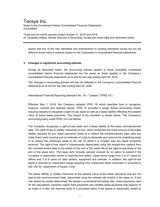Notes to the Condensed Interim Consolidated Financial Statements (Unaudited)

Three and six-month periods ended October 31, 2019 and 2018 (in Canadian dollars, tabular amounts in thousands, except per share data and otherwise noted)

expect that any of the new standards and amendments to existing standards issued but not yet effective would have a material impact on the Corporation's consolidated financial statements.

### **3. Changes in significant accounting policies:**

Except as described below, the accounting policies applied in these unaudited condensed consolidated interim financial statements are the same as those applied in the Company's consolidated financial statements as at and for the year ending April 30, 2019.

The changes in accounting policies will also be reflected in the Company's consolidated financial statements as at and for the year ending April 30, 2020.

International Financial Reporting Standard No. 16 – "Leases" ("IFRS 16")

Effective May 1, 2019, the Company adopted IFRS 16 which specifies how to recognize, measure, present and disclose leases. IFRS 16 provides a single lessee accounting model, requiring lessees to recognize a right-of-use asset as well as a lease liability reflecting the present value of future lease payments. The impact of the transition is shown below. The Company's accounting policy under IFRS 16 is as follows:

The Company recognizes a right-of-use asset and a lease liability at the lease commencement date. The right-of-use is initially measured at cost, which comprises the initial amount of the lease liability adjusted for any lease payments made at or before the commencement date, plus any initial direct costs incurred and an estimate of costs to dismantle and remove the underlying asset or to restore the underlying asset or the site on which it is located, less any lease incentives received. The right-of-use asset is subsequently depreciated using the straight-line method from the commencement date to the earlier of the end of the useful life of the right-of-use asset or the end of the lease term. The lease term includes periods covered by an option to extend if the Company is reasonably certain to exercise that option. Lease terms range from 5 to 21 years for offices and 3 to 6 years for data centers, equipment and vehicles. In addition, the right-of-use asset is reduced by impairment losses resulting from impairment tests conducted in accordance with IAS 36, *Impairment of Assets*, if any.

The lease liability is initially measured at the present value of the lease payments that are not paid at the commencement date, discounted using the interest rate implicit in the lease or, if that rate cannot be readily determined, the lessee's incremental borrowing rate. Lease payments used for the calculations comprise mainly fixed payments and variable lease payments that depend on an index or a rate, the exercise price of a purchase option if the lessee is reasonably certain to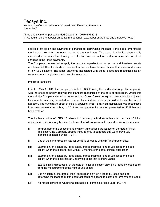Notes to the Condensed Interim Consolidated Financial Statements (Unaudited)

Three and six-month periods ended October 31, 2019 and 2018 (in Canadian dollars, tabular amounts in thousands, except per share data and otherwise noted)

exercise that option and payments of penalties for terminating the lease, if the lease term reflects the lessee exercising an option to terminate the lease. The lease liability is subsequently measured at amortized cost using the effective interest method and is remeasured to reflect changes in the lease payments.

The Company has elected to apply the practical expedient not to recognize right-of-use assets and lease liabilities for short-term leases that have a lease term of 12 months or less and leases of low value assets. The lease payments associated with these leases are recognized as an expense on a straight-line basis over the lease term.

Impact of transition:

Effective May 1, 2019, the Company adopted IFRS 16 using the modified retrospective approach with the effect of initially applying this standard recognized at the date of application. Under this method, the Company elected to measure right-of-use of asset as equal to lease liability, adjusted for amounts previously recorded for deferred lease inducements or prepaid rent as at the date of adoption. The cumulative effect of initially applying IFRS 16 at initial application was recognized in retained earnings as of May 1, 2019 and comparative information presented for 2019 has not been restated.

The implementation of IFRS 16 allows for certain practical expedients at the date of initial application. The Company has elected to use the following exemptions and practical expedients:

- (i) To grandfather the assessment of which transactions are leases on the date of initial application, the Company applied IFRS 16 only to contracts that were previously identified as leases under IAS 17.
- (ii) Use of the same discount rate for portfolio of leases with similar characteristics;
- (iii) Exemption, on a lease-by-lease basis, of recognizing a right-of-use asset and lease liability when the lease term is within 12 months of the date of initial application.
- (iv) Exemption, on a lease-by-lease basis, of recognizing a right-of-use asset and lease liability when the lease has an underlying asset that is of low value;
- (v) Exclude initial direct costs, at the date of initial application only, on a lease-by-lease basis from the measurement of the right-of-use asset;
- (vi) Use hindsight at the date of initial application only, on a lease-by-lease basis, to determine the lease term if the contract contains options to extend or terminate the lease;
- (vii) No reassessment on whether a contract is or contains a lease under IAS 17;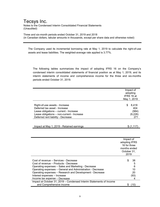Notes to the Condensed Interim Consolidated Financial Statements (Unaudited)

Three and six-month periods ended October 31, 2019 and 2018 (in Canadian dollars, tabular amounts in thousands, except per share data and otherwise noted)

The Company used its incremental borrowing rate at May 1, 2019 to calculate the right-of-use assets and lease liabilities. The weighted-average rate applied is 3.77%.

The following tables summarizes the impact of adopting IFRS 16 on the Company's condensed interim consolidated statements of financial position as at May 1, 2019, and its interim statements of income and comprehensive income for the three and six-months periods ended October 31, 2019.

|                                                                                                      |               | Impact of              |
|------------------------------------------------------------------------------------------------------|---------------|------------------------|
|                                                                                                      |               | adopting<br>IFRS 16 at |
|                                                                                                      |               |                        |
|                                                                                                      |               | May 1, 2019            |
| Right-of-use assets - Increase                                                                       | \$            | 8,418                  |
| Deferred tax asset - Increase                                                                        |               | 404                    |
| Lease obligations - current - Increase                                                               |               | (984)                  |
| Lease obligations - non-current - Increase                                                           |               | (9,226)                |
| Deferred rent liability - Decrease                                                                   |               | 271                    |
|                                                                                                      |               |                        |
| Impact at May 1, 2019 - Retained earnings                                                            |               | \$(1, 117)             |
|                                                                                                      |               |                        |
|                                                                                                      |               |                        |
|                                                                                                      |               |                        |
|                                                                                                      |               |                        |
|                                                                                                      | Impact of     |                        |
|                                                                                                      | adopting IFRS |                        |
|                                                                                                      | 16 for three  |                        |
|                                                                                                      | months ended  |                        |
|                                                                                                      | October 31,   |                        |
|                                                                                                      | 2019          |                        |
|                                                                                                      |               |                        |
| Cost of revenue – Services - Decrease                                                                | \$            | 38                     |
| Cost of revenue – Products - Decrease                                                                |               | 5                      |
| Operating expenses - Sales and Marketing - Decrease                                                  |               | 6                      |
| Operating expenses - General and Administration - Decrease                                           |               | 10                     |
| Operating expenses - Research and Development - Decrease                                             |               | 20                     |
| Interest expenses - Increase                                                                         |               | (93)<br>4              |
| Income tax expense - Decrease<br>Impact at October 31, 2019 - Condensed Interim Statements of Income |               |                        |
| and Comprehensive income                                                                             |               | \$(10)                 |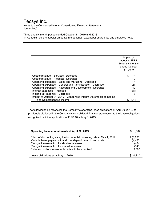Notes to the Condensed Interim Consolidated Financial Statements (Unaudited)

Three and six-month periods ended October 31, 2019 and 2018 (in Canadian dollars, tabular amounts in thousands, except per share data and otherwise noted)

|                                                                     | Impact of         |
|---------------------------------------------------------------------|-------------------|
|                                                                     | adopting IFRS     |
|                                                                     | 16 for six months |
|                                                                     | ended October     |
|                                                                     | 31, 2019          |
|                                                                     |                   |
| Cost of revenue - Services - Decrease                               | S<br>74           |
| Cost of revenue – Products - Decrease                               | 10                |
| Operating expenses - Sales and Marketing - Decrease                 | 14                |
| Operating expenses - General and Administration - Decrease          | 21                |
| Operating expenses - Research and Development - Decrease            | 40                |
| Interest expenses - Increase                                        | (188)             |
| Income tax expense - Decrease                                       | 8                 |
| Impact at October 31, 2019 – Condensed Interim Statements of Income |                   |
| and Comprehensive income                                            |                   |

The following table reconciles the Company's operating lease obligations at April 30, 2019, as previously disclosed in the Company's consolidated financial statements, to the lease obligations recognized on initial application of IFRS 16 at May 1, 2019:

| Operating lease commitments at April 30, 2019                             | \$13,804  |
|---------------------------------------------------------------------------|-----------|
|                                                                           |           |
| Effect of discounting using the incremental borrowing rate at May 1, 2019 | \$(1,636) |
| Variable lease payments that do not depend on an index or rate            | (4, 493)  |
| Recognition exemption for short-term leases                               | (484)     |
| Recognition exemption for low value leases                                | (348)     |
| Extension options reasonably certain to be exercised                      | 3,367     |
|                                                                           |           |
| Lease obligations as at May 1, 2019                                       | \$10.210  |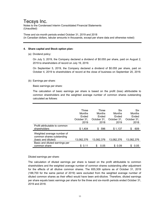Notes to the Condensed Interim Consolidated Financial Statements (Unaudited)

Three and six-month periods ended October 31, 2019 and 2018 (in Canadian dollars, tabular amounts in thousands, except per share data and otherwise noted)

### **4. Share capital and Stock option plan:**

(a) Dividend policy:

On July 3, 2019, the Company declared a dividend of \$0.055 per share, paid on August 2, 2019 to shareholders of record on July 19, 2019.

On September 5, 2019, the Company declared a dividend of \$0.055 per share, paid on October 4, 2019 to shareholders of record at the close of business on September 20, 2019.

(b) Earnings per share:

Basic earnings per share:

The calculation of basic earnings per share is based on the profit (loss) attributable to common shareholders and the weighted average number of common shares outstanding calculated as follows:

|                                                                                | <b>Three</b> | Three       | Six         | <b>Six</b>  |
|--------------------------------------------------------------------------------|--------------|-------------|-------------|-------------|
|                                                                                | Months       | Months      | Months      | Months      |
|                                                                                | Ended        | Ended       | Ended       | Ended       |
|                                                                                | October 31,  | October 31, | October 31, | October 31, |
|                                                                                | 2019         | 2018        | 2019        | 2018        |
| Profit attributable to common<br>shareholders                                  | \$1,404      | 596<br>S    | \$1,137     | 609<br>S    |
| Weighted average number of<br>common shares outstanding<br>(basic and diluted) | 13.082.376   | 13.082.376  | 13,082,376  | 13,082,376  |
| Basic and diluted earnings per                                                 | \$0.11       | S           | 0.09        | S           |
| common share                                                                   |              | 0.05        | SS.         | 0.05        |

Diluted earnings per share:

The calculation of diluted earnings per share is based on the profit attributable to common shareholders and the weighted average number of common shares outstanding after adjustment for the effects of all dilutive common shares. The 655,309 options as of October 31, 2019 (188,700 for the same period of 2019) were excluded from the weighted average number of diluted common shares as their effect would have been anti-dilutive. Therefore, diluted earnings per share equals basic earnings per share for the three and six-month periods ended October 31, 2019 and 2018.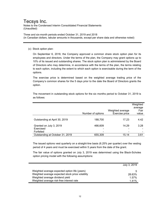Notes to the Condensed Interim Consolidated Financial Statements (Unaudited)

Three and six-month periods ended October 31, 2019 and 2018 (in Canadian dollars, tabular amounts in thousands, except per share data and otherwise noted)

### (c) Stock option plan:

Ē.

On September 6, 2018, the Company approved a common share stock option plan for its employees and directors. Under the terms of the plan, the Company may grant options up to 10% of its issued and outstanding shares. The stock option plan is administered by the Board of Directors who may determine, in accordance with the terms of the plan, the terms relating to each option, including the extent to which each option is exercisable during the term of the options.

The exercise price is determined based on the weighted average trading price of the Company's common shares for the 5 days prior to the date the Board of Directors grants the option.

The movement in outstanding stock options for the six months period to October 31, 2019 is as follows:

|                                 |                   |                  | Weighted<br>average |
|---------------------------------|-------------------|------------------|---------------------|
|                                 |                   | Weighted average | Fair                |
|                                 | Number of options | Exercise price   | value               |
|                                 |                   |                  |                     |
| Outstanding at April 30, 2019   | 188,700           | 17.23            | 4.42                |
|                                 |                   |                  |                     |
| Granted on July 3, 2019         | 466,609           | 14.29            | 3.28                |
| Exercised                       | -                 |                  |                     |
| Forfeited                       |                   |                  |                     |
| Outstanding at October 31, 2019 | 655,309           | 15.14            | 3.61                |

The issued options vest quarterly on a straight-line basis (6.25% per quarter) over the vesting period of 4 years and must be exercised within 5 years from the date of the grant.

The fair value of options granted on July 3, 2019 was determined using the Black-Scholes option pricing model with the following assumptions:

|                                                  | July 3, 2019 |
|--------------------------------------------------|--------------|
| Weighted average expected option life (years)    | 5            |
| Weighted average expected stock price volatility | 28.63%       |
| Weighted average dividend yield                  | 1.57%        |
| Weighted average risk-free interest rate         | 1.41%        |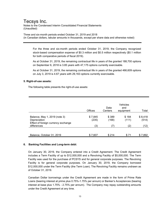Notes to the Condensed Interim Consolidated Financial Statements (Unaudited)

Three and six-month periods ended October 31, 2019 and 2018 (in Canadian dollars, tabular amounts in thousands, except per share data and otherwise noted)

For the three and six-month periods ended October 31, 2019, the Company recognized stock-based compensation expense of \$0.3 million and \$0.5 million respectively (\$0.1 million for both comparative periods of fiscal 2019).

As at October 31, 2019, the remaining contractual life in years of the granted 188,700 options on September 6, 2018 is 3.85 years with 47,175 options currently exercisable.

As at October 31, 2019, the remaining contractual life in years of the granted 466,609 options on July 3, 2019 is 4.67 years with 29,163 options currently exercisable.

### **5. Right-of-use assets:**

The following table presents the right-of-use assets:

|                                                                                      | <b>Offices</b>   | Data<br>Centers | Vehicles<br>and<br>equipment | Total                    |
|--------------------------------------------------------------------------------------|------------------|-----------------|------------------------------|--------------------------|
| Balance, May 1, 2019 (note 3)<br>Depreciation<br>Effect of foreign currency exchange | \$7,845<br>(235) | \$389<br>(168)  | \$184<br>(111)               | \$8,418<br>(514)<br>(12) |
|                                                                                      |                  |                 |                              | \$7,892                  |
| differences<br>Balance, October 31, 2019                                             | (3)<br>\$7,607   | 7<br>\$214      |                              | (2)<br>\$71              |

### **6. Banking Facilities and Long-term debt:**

On January 30, 2019, the Company entered into a Credit Agreement. The Credit Agreement includes a Term Facility of up to \$12,000,000 and a Revolving Facility of \$5,000,000. The Term Facility was used for the purchase of PCSYS and for general corporate purposes. The Revolving Facility is for general corporate purposes. On January 30, 2019, the Company borrowed \$12,000,000 under the Term Facility (the Term Loan). The Revolving Facility remains undrawn as of October 31, 2019.

Canadian Dollar borrowings under the Credit Agreement are made in the form of Prime Rate Loans (bearing interest at prime plus 0.75%-1.75% per annum) or Banker's Acceptances (bearing interest at base plus 1.75% - 2.75% per annum). The Company may repay outstanding amounts under the Credit Agreement at any time.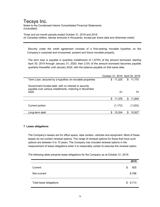Notes to the Condensed Interim Consolidated Financial Statements (Unaudited)

Three and six-month periods ended October 31, 2019 and 2018 (in Canadian dollars, tabular amounts in thousands, except per share data and otherwise noted)

 Security under the credit agreement consists of a first-ranking movable hypothec on the Company's corporeal and incorporeal, present and future movable property.

The term loan is payable in quarterly installments of 1.875% of the amount borrowed, starting April 30, 2019 through January 31, 2020; then 2.5% of the amount borrowed becomes payable quarterly thereafter until January 2024, with the balance payable on that same date.

|                                                                                                                  | October 31, 2019 April 30, 2019 |             |
|------------------------------------------------------------------------------------------------------------------|---------------------------------|-------------|
| Term Loan, secured by a hypothec on movable properties                                                           | \$11,325                        | \$11,775    |
| Government funded debt, with no interest or security,<br>payable over various installments, maturing in November |                                 |             |
| 2020                                                                                                             | 51                              | 74          |
|                                                                                                                  | \$.<br>11,376                   | S<br>11,849 |
| Current portion                                                                                                  | (1, 172)                        | (1,022)     |
| Long-term debt                                                                                                   | 10,204                          | 10,827      |

### **7. Lease obligations**

The Company's leases are for office space, data centers, vehicles and equipment. Most of these leases do not contain renewal options. The range of renewal options for those that have such options are between 5 to 10 years. The Company has included renewal options in the measurement of lease obligations when it is reasonably certain to exercise the renewal option.

The following table presents lease obligations for the Company as at October 31, 2019:

|                         | 2019      |
|-------------------------|-----------|
| Current                 | \$<br>925 |
| Non-current             | 8,788     |
| Total lease obligations | \$9,713   |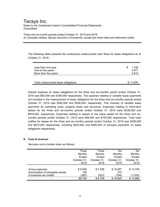Notes to the Condensed Interim Consolidated Financial Statements (Unaudited)

Three and six-month periods ended October 31, 2019 and 2018 (in Canadian dollars, tabular amounts in thousands, except per share data and otherwise noted)

The following table presents the contractual undiscounted cash flows for lease obligations as at October 31, 2019:

| Less than one year<br>One to five years<br>More than five years | S | 1.185<br>4.977<br>5.816 |
|-----------------------------------------------------------------|---|-------------------------|
| Total undiscounted lease obligations                            |   | \$11,978                |

Interest expense on lease obligations for the three and six-months period ended October 31, 2019 was \$94,000 and \$189,000 respectively. The expense relating to variable lease payments not included in the measurement of lease obligations for the three and six-months periods ended October 31, 2019 was \$262,000 and \$536,000, respectively. This consists of variable lease payments for operating costs, property taxes and insurance. Expenses relating to short-term leases for the three and six-months periods ended October 31, 2019 were \$338,000 and \$979,000, respectively. Expenses relating to leases of low value assets for the three and sixmonths periods ended October 31, 2019 were \$48,000 and \$100,000 respectively. Total cash outflow for leases for the three and six-months periods ended October 31, 2019 was \$336,000 and \$673,000 respectively, including \$243,000 and \$485,000 of principal payments on lease obligations respectively.

### **8. Cost of revenue:**

Services cost is broken down as follows:

|                                   | Three       | Three       | Six           | Six         |
|-----------------------------------|-------------|-------------|---------------|-------------|
|                                   | Months      | Months      | <b>Months</b> | Months      |
|                                   | Ended       | Ended       | Ended         | Ended       |
|                                   | October 31, | October 31, | October 31,   | October 31, |
|                                   | 2019        | 2018        | 2019          | 2018        |
|                                   |             |             |               |             |
| Gross expenses                    | \$9,826     | \$7,228     | \$19,297      | \$14,705    |
| Amortization of intangible assets | 156         |             | 312           |             |
| E-business tax credits            | (282)       | (523)       | (784          | (1,020)     |
|                                   | \$9,700     | \$6,705     | \$18,825      | \$13,685    |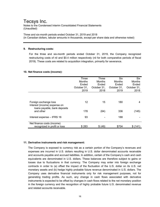Notes to the Condensed Interim Consolidated Financial Statements (Unaudited)

Three and six-month periods ended October 31, 2019 and 2018 (in Canadian dollars, tabular amounts in thousands, except per share data and otherwise noted)

### **9. Restructuring costs:**

For the three and six-month periods ended October 31, 2019, the Company recognized restructuring costs of nil and \$0.4 million respectively (nil for both comparative periods of fiscal 2019). These costs are related to acquisition integration, primarily for severance.

### **10. Net finance costs (income):**

|                                                                                       | Three<br><b>Months</b><br>Ended<br>October 31,<br>2019 | Three<br><b>Months</b><br>Ended<br>October 31.<br>2018 | <b>Six</b><br><b>Months</b><br>Ended<br>October 31,<br>2019 | <b>Six</b><br><b>Months</b><br>Ended<br>October 31,<br>2018 |
|---------------------------------------------------------------------------------------|--------------------------------------------------------|--------------------------------------------------------|-------------------------------------------------------------|-------------------------------------------------------------|
|                                                                                       |                                                        |                                                        |                                                             |                                                             |
| Foreign exchange loss<br>Interest (income) expense on<br>loans payable, bank deposits | 12                                                     | 15                                                     | 180                                                         | 4                                                           |
| and other                                                                             | 178                                                    | (64)                                                   | 336                                                         | (145)                                                       |
| Interest expense - IFRS 16                                                            | 93                                                     |                                                        | 188                                                         |                                                             |
| Net finance costs (income)<br>recognized in profit or loss                            | \$283                                                  | \$ (49)                                                | \$704                                                       | \$(141)                                                     |

### **11. Derivative instruments and risk management:**

The Company is exposed to currency risk as a certain portion of the Company's revenues and expenses are incurred in U.S. dollars resulting in U.S. dollar denominated accounts receivable and accounts payable and accrued liabilities. In addition, certain of the Company's cash and cash equivalents are denominated in U.S. dollars. These balances are therefore subject to gains or losses due to fluctuations in that currency. The Company may enter into foreign exchange contracts in order to (a) offset the impact of the fluctuation of the U.S. dollar on its U.S. net monetary assets and (b) hedge highly probable future revenue denominated in U.S. dollars. The Company uses derivative financial instruments only for risk management purposes, not for generating trading profits. As such, any change in cash flows associated with derivative instruments is expected to be offset by changes in cash flows related to the net monetary position in the foreign currency and the recognition of highly probable future U.S. denominated revenue and related accounts receivable.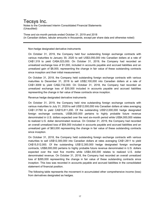Notes to the Condensed Interim Consolidated Financial Statements (Unaudited)

Three and six-month periods ended October 31, 2019 and 2018 (in Canadian dollars, tabular amounts in thousands, except per share data and otherwise noted)

### Non-hedge designated derivative instruments

On October 31, 2019, the Company held four outstanding foreign exchange contracts with various maturities to January 30, 2020 to sell US\$3,050,000 into Canadian dollars at a rate of CA\$1.319 to yield CA\$4,023,000. On October 31, 2019, the Company had recorded an unrealized exchange loss of \$1,000, included in accounts payable and accrued liabilities and an unrealized gain of \$8,000, representing the change in fair value of these outstanding contracts since inception and their initial measurement.

On October 31, 2018, the Company held outstanding foreign exchange contracts with various maturities to December 31, 2018 to sell US\$2,100,000 into Canadian dollars at a rate of CA\$1.3009 to yield CA\$2,732,000. On October 31, 2018, the Company had recorded an unrealized exchange loss of \$30,000 included in accounts payable and accrued liabilities representing the change in fair value of these contracts since inception.

### Revenue hedge designated derivative instruments

On October 31, 2019, the Company held nine outstanding foreign exchange contracts with various maturities to July 31, 2020 to sell US\$12,000,000 into Canadian dollars at rates averaging CA\$1.31760 to yield CA\$15,811,200. Of the outstanding US\$12,000,000 hedge designated foreign exchange contracts, US\$8,000,000 pertains to highly probable future revenue denominated in U.S. dollars expected over the next six-month period while US\$4,000,000 relates to realized U.S. dollar denominated revenue. On October 31, 2019, the Company had recorded an overall unrealized loss of \$54,000 included in accounts payable and accrued liabilities and an unrealized gain of \$63,000 representing the change in fair value of these outstanding contracts since inception.

On October 31, 2018, the Company held outstanding foreign exchange contracts with various maturities to sell US\$12,300,000 into Canadian dollars at rates averaging CA\$1.2611 to yield CA\$15,512,000. Of the outstanding US\$12,300,000 hedge designated foreign exchange contracts, US\$8,000,000 pertains to highly probable future revenue denominated in U.S. dollars expected over the next five months while US\$4,300,000 relates to realized U.S. dollar denominated revenue. On October 31, 2018, the Company had recorded an overall unrealized loss of \$265,000 representing the change in fair value of these outstanding contracts since inception. This loss was recorded in accounts payable and accrued liabilities in the consolidated statement of financial position.

The following table represents the movement in accumulated other comprehensive income (loss) from derivatives designated as hedges.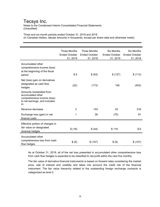Notes to the Condensed Interim Consolidated Financial Statements (Unaudited)

Three and six-month periods ended October 31, 2019 and 2018 (in Canadian dollars, tabular amounts in thousands, except per share data and otherwise noted)

|                                                                                                                       | <b>Three Months</b><br><b>Ended October</b><br>31, 2019 | <b>Three Months</b><br><b>Ended October</b><br>31, 2018 | <b>Six Months</b><br><b>Ended October</b><br>31, 2019 | <b>Six Months</b><br><b>Ended October</b><br>31, 2018 |
|-----------------------------------------------------------------------------------------------------------------------|---------------------------------------------------------|---------------------------------------------------------|-------------------------------------------------------|-------------------------------------------------------|
| Accumulated other<br>comprehensive income (loss)<br>at the beginning of the fiscal<br>period                          | \$9                                                     | \$ (63)                                                 | \$(127)                                               | \$(113)                                               |
| Net (loss) gain on derivatives<br>designated as cash flow<br>hedges                                                   | (22)                                                    | (173)                                                   | 146                                                   | (403)                                                 |
| Amounts reclassified from<br>accumulated other<br>comprehensive income (loss)<br>to net earnings, and included<br>in: |                                                         |                                                         |                                                       |                                                       |
| Revenue decrease                                                                                                      | 3                                                       | 103                                                     | 42                                                    | 318                                                   |
| Exchange loss (gain) in net<br>finance costs                                                                          | 1                                                       | 26                                                      | (70)                                                  | 91                                                    |
| Effective portion of changes in<br>fair value on designated<br>revenue hedges                                         | \$(18)                                                  | \$ (44)                                                 | \$118                                                 | \$6                                                   |
| Accumulated other<br>comprehensive loss from cash<br>flow hedges                                                      | \$ (9)                                                  | \$(107)                                                 | \$ (9)                                                | \$(107)                                               |

As at October 31, 2019, all of the net loss presented in accumulated other comprehensive loss from cash flow hedges is expected to be classified to net profit within the next five months.

The fair value of derivative financial instruments is based on forward rates considering the market price, rate of interest and volatility and takes into account the credit risk of the financial instrument. The fair value hierarchy related to the outstanding foreign exchange contracts is categorized as level 2.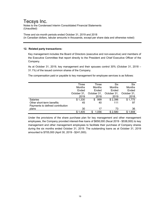Notes to the Condensed Interim Consolidated Financial Statements (Unaudited)

Three and six-month periods ended October 31, 2019 and 2018 (in Canadian dollars, tabular amounts in thousands, except per share data and otherwise noted)

### **12. Related party transactions:**

Key management includes the Board of Directors (executive and non-executive) and members of the Executive Committee that report directly to the President and Chief Executive Officer of the Company.

As at October 31, 2019, key management and their spouses control 30% (October 31, 2018 – 31.1%) of the issued common shares of the Company.

The compensation paid or payable to key management for employee services is as follows:

|                                  | Three       | Three       | <b>Six</b>  | <b>Six</b>  |
|----------------------------------|-------------|-------------|-------------|-------------|
|                                  | Months      | Months      | Months      | Months      |
|                                  | Ended       | Ended       | Ended       | Ended       |
|                                  | October 31, | October 31, | October 31, | October 31, |
|                                  | 2019        | 2018        | 2019        | 2018        |
| <b>Salaries</b>                  | \$1,330     | 999<br>S    | \$2,396     | \$1,775     |
| Other short-term benefits        | 45          | 40          | 111         | 97          |
| Payments to defined contribution |             |             |             |             |
| plans                            | 30          | 17          | 73          | 36          |
|                                  | \$1,405     | 1.056<br>S  | \$2,580     | \$1,908     |

Under the provisions of the share purchase plan for key management and other management employees, the Company provided interest-free loans of \$658,000 (fiscal 2019 - \$538,000) to key management and other management employees to facilitate their purchase of Company shares during the six months ended October 31, 2019. The outstanding loans as at October 31, 2019 amounted to \$705,000 (April 30, 2019 - \$241,000).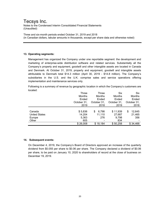Notes to the Condensed Interim Consolidated Financial Statements (Unaudited)

Three and six-month periods ended October 31, 2019 and 2018 (in Canadian dollars, tabular amounts in thousands, except per share data and otherwise noted)

### **13. Operating segments:**

Management has organized the Company under one reportable segment: the development and marketing of enterprise-wide distribution software and related services. Substantially all the Company's property and equipment, goodwill and other intangible assets are located in Canada and Denmark. At October 31, 2019, property and equipment, goodwill and intangible assets attributable to Denmark total \$14.3 million (April 30, 2019 - \$14.8 million). The Company's subsidiaries in the U.S. and the U.K. comprise sales and service operations offering implementation and maintenance services only.

Following is a summary of revenue by geographic location in which the Company's customers are located:

|                      | Three       | Three         | Six         | <b>Six</b>   |
|----------------------|-------------|---------------|-------------|--------------|
|                      | Months      | <b>Months</b> | Months      | Months       |
|                      | Ended       | Ended         | Ended       | Ended        |
|                      | October 31, | October 31,   | October 31, | October 31,  |
|                      | 2019        | 2018          | 2019        | 2018         |
|                      |             |               |             |              |
| Canada               | \$5,836     | 6,798<br>\$   | \$11,939    | 12,645<br>\$ |
| <b>United States</b> | 14,204      | 11,110        | 27,687      | 21,465       |
| Europe               | 5,363       | 276           | 9,798       | 356          |
| Other                | 605         |               | 834         |              |
|                      | \$26,008    | \$18,184      | \$50.258    | \$34,466     |

### **14. Subsequent events:**

On December 4, 2019, the Company's Board of Directors approved an increase of the quarterly dividend from \$0.055 per share to \$0.06 per share. The Company declared a dividend of \$0.06 per share, to be paid on January 10, 2020 to shareholders of record at the close of business on December 19, 2019.